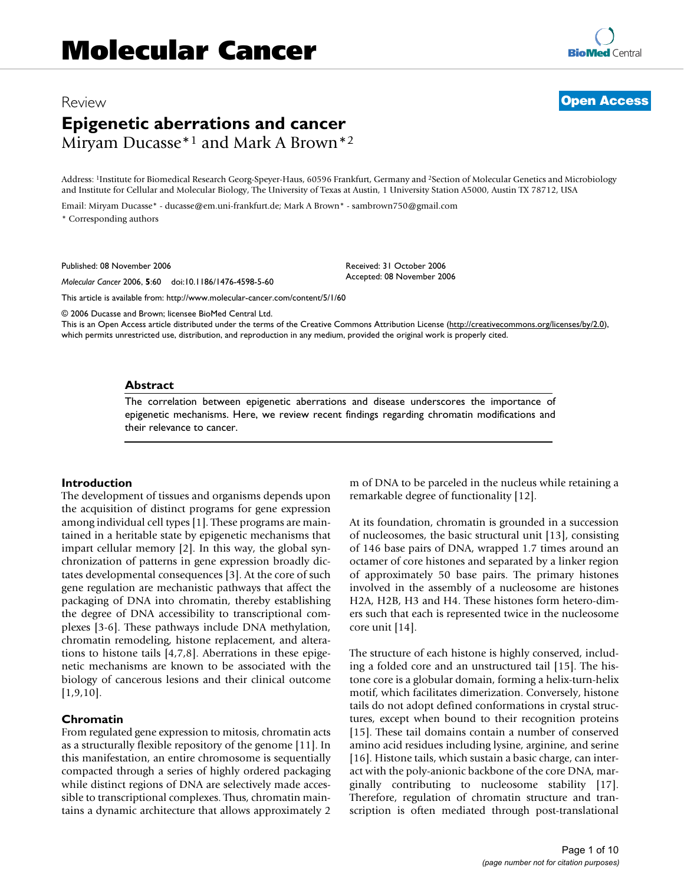# Review **[Open Access](http://www.biomedcentral.com/info/about/charter/) Epigenetic aberrations and cancer** Miryam Ducasse\*1 and Mark A Brown\*2

Address: <sup>1</sup>Institute for Biomedical Research Georg-Speyer-Haus, 60596 Frankfurt, Germany and <sup>2</sup>Section of Molecular Genetics and Microbiology and Institute for Cellular and Molecular Biology, The University of Texas at Austin, 1 University Station A5000, Austin TX 78712, USA

> Received: 31 October 2006 Accepted: 08 November 2006

Email: Miryam Ducasse\* - ducasse@em.uni-frankfurt.de; Mark A Brown\* - sambrown750@gmail.com

\* Corresponding authors

Published: 08 November 2006

*Molecular Cancer* 2006, **5**:60 doi:10.1186/1476-4598-5-60

[This article is available from: http://www.molecular-cancer.com/content/5/1/60](http://www.molecular-cancer.com/content/5/1/60)

© 2006 Ducasse and Brown; licensee BioMed Central Ltd.

This is an Open Access article distributed under the terms of the Creative Commons Attribution License [\(http://creativecommons.org/licenses/by/2.0\)](http://creativecommons.org/licenses/by/2.0), which permits unrestricted use, distribution, and reproduction in any medium, provided the original work is properly cited.

### **Abstract**

The correlation between epigenetic aberrations and disease underscores the importance of epigenetic mechanisms. Here, we review recent findings regarding chromatin modifications and their relevance to cancer.

### **Introduction**

The development of tissues and organisms depends upon the acquisition of distinct programs for gene expression among individual cell types [1]. These programs are maintained in a heritable state by epigenetic mechanisms that impart cellular memory [2]. In this way, the global synchronization of patterns in gene expression broadly dictates developmental consequences [3]. At the core of such gene regulation are mechanistic pathways that affect the packaging of DNA into chromatin, thereby establishing the degree of DNA accessibility to transcriptional complexes [3-6]. These pathways include DNA methylation, chromatin remodeling, histone replacement, and alterations to histone tails [4,7,8]. Aberrations in these epigenetic mechanisms are known to be associated with the biology of cancerous lesions and their clinical outcome [1,9,10].

### **Chromatin**

From regulated gene expression to mitosis, chromatin acts as a structurally flexible repository of the genome [11]. In this manifestation, an entire chromosome is sequentially compacted through a series of highly ordered packaging while distinct regions of DNA are selectively made accessible to transcriptional complexes. Thus, chromatin maintains a dynamic architecture that allows approximately 2

m of DNA to be parceled in the nucleus while retaining a remarkable degree of functionality [12].

At its foundation, chromatin is grounded in a succession of nucleosomes, the basic structural unit [13], consisting of 146 base pairs of DNA, wrapped 1.7 times around an octamer of core histones and separated by a linker region of approximately 50 base pairs. The primary histones involved in the assembly of a nucleosome are histones H2A, H2B, H3 and H4. These histones form hetero-dimers such that each is represented twice in the nucleosome core unit [14].

The structure of each histone is highly conserved, including a folded core and an unstructured tail [15]. The histone core is a globular domain, forming a helix-turn-helix motif, which facilitates dimerization. Conversely, histone tails do not adopt defined conformations in crystal structures, except when bound to their recognition proteins [15]. These tail domains contain a number of conserved amino acid residues including lysine, arginine, and serine [16]. Histone tails, which sustain a basic charge, can interact with the poly-anionic backbone of the core DNA, marginally contributing to nucleosome stability [17]. Therefore, regulation of chromatin structure and transcription is often mediated through post-translational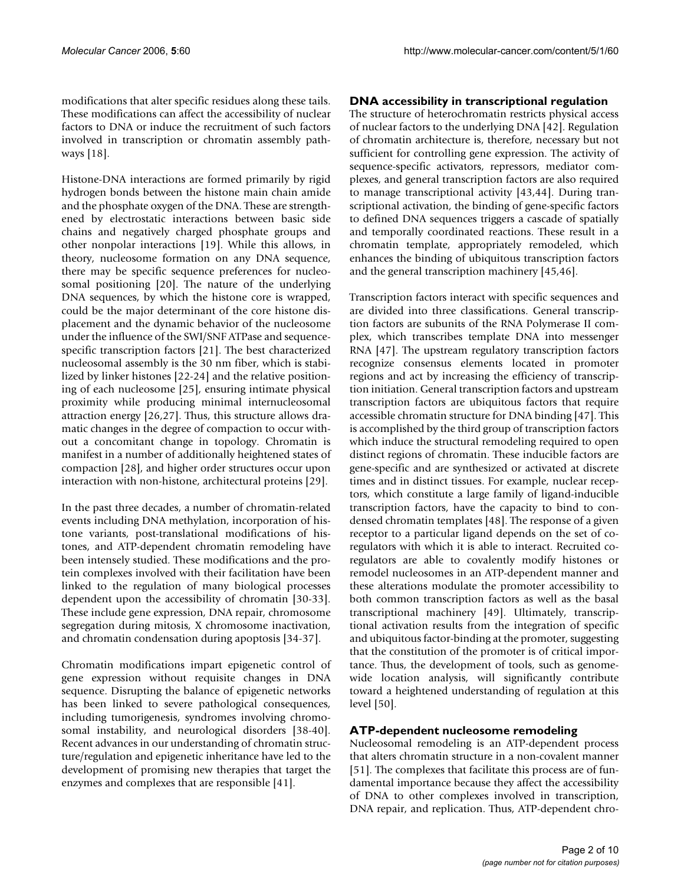modifications that alter specific residues along these tails. These modifications can affect the accessibility of nuclear factors to DNA or induce the recruitment of such factors involved in transcription or chromatin assembly pathways [18].

Histone-DNA interactions are formed primarily by rigid hydrogen bonds between the histone main chain amide and the phosphate oxygen of the DNA. These are strengthened by electrostatic interactions between basic side chains and negatively charged phosphate groups and other nonpolar interactions [19]. While this allows, in theory, nucleosome formation on any DNA sequence, there may be specific sequence preferences for nucleosomal positioning [20]. The nature of the underlying DNA sequences, by which the histone core is wrapped, could be the major determinant of the core histone displacement and the dynamic behavior of the nucleosome under the influence of the SWI/SNF ATPase and sequencespecific transcription factors [21]. The best characterized nucleosomal assembly is the 30 nm fiber, which is stabilized by linker histones [22-24] and the relative positioning of each nucleosome [25], ensuring intimate physical proximity while producing minimal internucleosomal attraction energy [26,27]. Thus, this structure allows dramatic changes in the degree of compaction to occur without a concomitant change in topology. Chromatin is manifest in a number of additionally heightened states of compaction [28], and higher order structures occur upon interaction with non-histone, architectural proteins [29].

In the past three decades, a number of chromatin-related events including DNA methylation, incorporation of histone variants, post-translational modifications of histones, and ATP-dependent chromatin remodeling have been intensely studied. These modifications and the protein complexes involved with their facilitation have been linked to the regulation of many biological processes dependent upon the accessibility of chromatin [30-33]. These include gene expression, DNA repair, chromosome segregation during mitosis, X chromosome inactivation, and chromatin condensation during apoptosis [34-37].

Chromatin modifications impart epigenetic control of gene expression without requisite changes in DNA sequence. Disrupting the balance of epigenetic networks has been linked to severe pathological consequences, including tumorigenesis, syndromes involving chromosomal instability, and neurological disorders [38-40]. Recent advances in our understanding of chromatin structure/regulation and epigenetic inheritance have led to the development of promising new therapies that target the enzymes and complexes that are responsible [41].

### **DNA accessibility in transcriptional regulation**

The structure of heterochromatin restricts physical access of nuclear factors to the underlying DNA [42]. Regulation of chromatin architecture is, therefore, necessary but not sufficient for controlling gene expression. The activity of sequence-specific activators, repressors, mediator complexes, and general transcription factors are also required to manage transcriptional activity [43,44]. During transcriptional activation, the binding of gene-specific factors to defined DNA sequences triggers a cascade of spatially and temporally coordinated reactions. These result in a chromatin template, appropriately remodeled, which enhances the binding of ubiquitous transcription factors and the general transcription machinery [45,46].

Transcription factors interact with specific sequences and are divided into three classifications. General transcription factors are subunits of the RNA Polymerase II complex, which transcribes template DNA into messenger RNA [47]. The upstream regulatory transcription factors recognize consensus elements located in promoter regions and act by increasing the efficiency of transcription initiation. General transcription factors and upstream transcription factors are ubiquitous factors that require accessible chromatin structure for DNA binding [47]. This is accomplished by the third group of transcription factors which induce the structural remodeling required to open distinct regions of chromatin. These inducible factors are gene-specific and are synthesized or activated at discrete times and in distinct tissues. For example, nuclear receptors, which constitute a large family of ligand-inducible transcription factors, have the capacity to bind to condensed chromatin templates [48]. The response of a given receptor to a particular ligand depends on the set of coregulators with which it is able to interact. Recruited coregulators are able to covalently modify histones or remodel nucleosomes in an ATP-dependent manner and these alterations modulate the promoter accessibility to both common transcription factors as well as the basal transcriptional machinery [49]. Ultimately, transcriptional activation results from the integration of specific and ubiquitous factor-binding at the promoter, suggesting that the constitution of the promoter is of critical importance. Thus, the development of tools, such as genomewide location analysis, will significantly contribute toward a heightened understanding of regulation at this level [50].

# **ATP-dependent nucleosome remodeling**

Nucleosomal remodeling is an ATP-dependent process that alters chromatin structure in a non-covalent manner [51]. The complexes that facilitate this process are of fundamental importance because they affect the accessibility of DNA to other complexes involved in transcription, DNA repair, and replication. Thus, ATP-dependent chro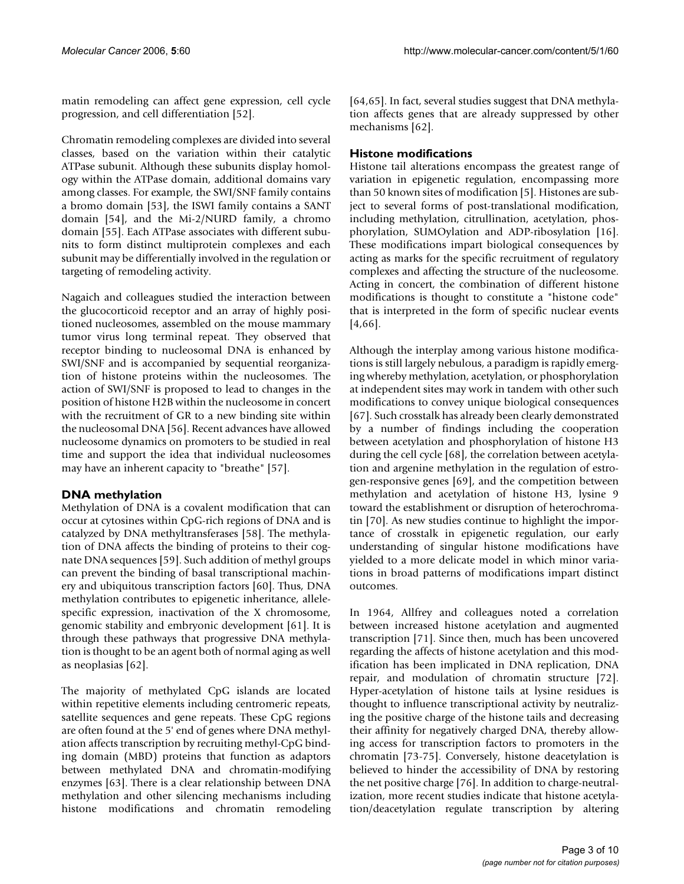matin remodeling can affect gene expression, cell cycle progression, and cell differentiation [52].

Chromatin remodeling complexes are divided into several classes, based on the variation within their catalytic ATPase subunit. Although these subunits display homology within the ATPase domain, additional domains vary among classes. For example, the SWI/SNF family contains a bromo domain [53], the ISWI family contains a SANT domain [54], and the Mi-2/NURD family, a chromo domain [55]. Each ATPase associates with different subunits to form distinct multiprotein complexes and each subunit may be differentially involved in the regulation or targeting of remodeling activity.

Nagaich and colleagues studied the interaction between the glucocorticoid receptor and an array of highly positioned nucleosomes, assembled on the mouse mammary tumor virus long terminal repeat. They observed that receptor binding to nucleosomal DNA is enhanced by SWI/SNF and is accompanied by sequential reorganization of histone proteins within the nucleosomes. The action of SWI/SNF is proposed to lead to changes in the position of histone H2B within the nucleosome in concert with the recruitment of GR to a new binding site within the nucleosomal DNA [56]. Recent advances have allowed nucleosome dynamics on promoters to be studied in real time and support the idea that individual nucleosomes may have an inherent capacity to "breathe" [57].

# **DNA methylation**

Methylation of DNA is a covalent modification that can occur at cytosines within CpG-rich regions of DNA and is catalyzed by DNA methyltransferases [58]. The methylation of DNA affects the binding of proteins to their cognate DNA sequences [59]. Such addition of methyl groups can prevent the binding of basal transcriptional machinery and ubiquitous transcription factors [60]. Thus, DNA methylation contributes to epigenetic inheritance, allelespecific expression, inactivation of the X chromosome, genomic stability and embryonic development [61]. It is through these pathways that progressive DNA methylation is thought to be an agent both of normal aging as well as neoplasias [62].

The majority of methylated CpG islands are located within repetitive elements including centromeric repeats, satellite sequences and gene repeats. These CpG regions are often found at the 5' end of genes where DNA methylation affects transcription by recruiting methyl-CpG binding domain (MBD) proteins that function as adaptors between methylated DNA and chromatin-modifying enzymes [63]. There is a clear relationship between DNA methylation and other silencing mechanisms including histone modifications and chromatin remodeling [64,65]. In fact, several studies suggest that DNA methylation affects genes that are already suppressed by other mechanisms [62].

# **Histone modifications**

Histone tail alterations encompass the greatest range of variation in epigenetic regulation, encompassing more than 50 known sites of modification [5]. Histones are subject to several forms of post-translational modification, including methylation, citrullination, acetylation, phosphorylation, SUMOylation and ADP-ribosylation [16]. These modifications impart biological consequences by acting as marks for the specific recruitment of regulatory complexes and affecting the structure of the nucleosome. Acting in concert, the combination of different histone modifications is thought to constitute a "histone code" that is interpreted in the form of specific nuclear events [4,66].

Although the interplay among various histone modifications is still largely nebulous, a paradigm is rapidly emerging whereby methylation, acetylation, or phosphorylation at independent sites may work in tandem with other such modifications to convey unique biological consequences [67]. Such crosstalk has already been clearly demonstrated by a number of findings including the cooperation between acetylation and phosphorylation of histone H3 during the cell cycle [68], the correlation between acetylation and argenine methylation in the regulation of estrogen-responsive genes [69], and the competition between methylation and acetylation of histone H3, lysine 9 toward the establishment or disruption of heterochromatin [70]. As new studies continue to highlight the importance of crosstalk in epigenetic regulation, our early understanding of singular histone modifications have yielded to a more delicate model in which minor variations in broad patterns of modifications impart distinct outcomes.

In 1964, Allfrey and colleagues noted a correlation between increased histone acetylation and augmented transcription [71]. Since then, much has been uncovered regarding the affects of histone acetylation and this modification has been implicated in DNA replication, DNA repair, and modulation of chromatin structure [72]. Hyper-acetylation of histone tails at lysine residues is thought to influence transcriptional activity by neutralizing the positive charge of the histone tails and decreasing their affinity for negatively charged DNA, thereby allowing access for transcription factors to promoters in the chromatin [73-75]. Conversely, histone deacetylation is believed to hinder the accessibility of DNA by restoring the net positive charge [76]. In addition to charge-neutralization, more recent studies indicate that histone acetylation/deacetylation regulate transcription by altering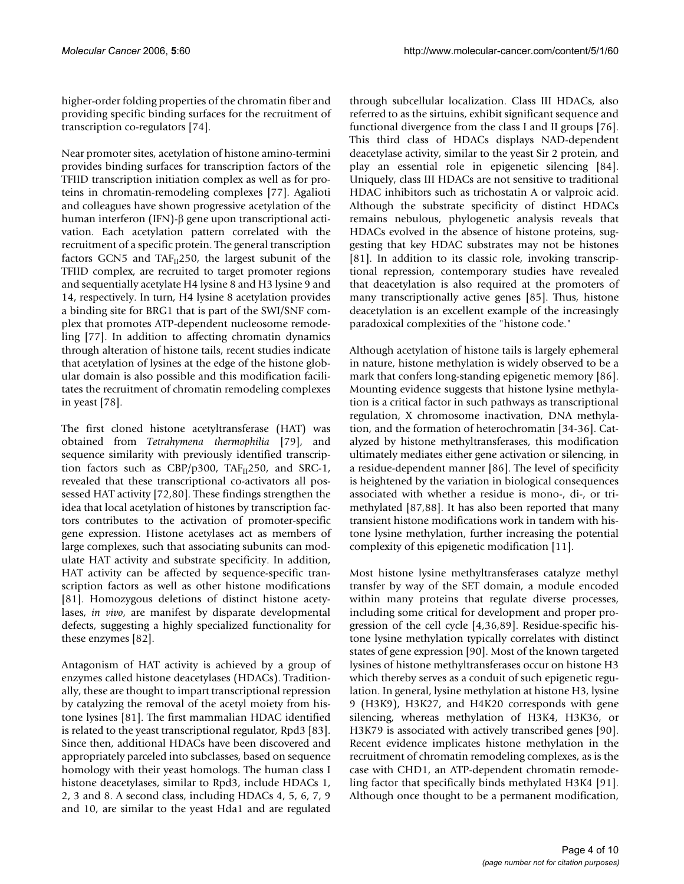higher-order folding properties of the chromatin fiber and providing specific binding surfaces for the recruitment of transcription co-regulators [74].

Near promoter sites, acetylation of histone amino-termini provides binding surfaces for transcription factors of the TFIID transcription initiation complex as well as for proteins in chromatin-remodeling complexes [77]. Agalioti and colleagues have shown progressive acetylation of the human interferon (IFN)-β gene upon transcriptional activation. Each acetylation pattern correlated with the recruitment of a specific protein. The general transcription factors GCN5 and  $TAF_{II}250$ , the largest subunit of the TFIID complex, are recruited to target promoter regions and sequentially acetylate H4 lysine 8 and H3 lysine 9 and 14, respectively. In turn, H4 lysine 8 acetylation provides a binding site for BRG1 that is part of the SWI/SNF complex that promotes ATP-dependent nucleosome remodeling [77]. In addition to affecting chromatin dynamics through alteration of histone tails, recent studies indicate that acetylation of lysines at the edge of the histone globular domain is also possible and this modification facilitates the recruitment of chromatin remodeling complexes in yeast [78].

The first cloned histone acetyltransferase (HAT) was obtained from *Tetrahymena thermophilia* [79], and sequence similarity with previously identified transcription factors such as CBP/p300, TAF $_{II}$ 250, and SRC-1, revealed that these transcriptional co-activators all possessed HAT activity [72,80]. These findings strengthen the idea that local acetylation of histones by transcription factors contributes to the activation of promoter-specific gene expression. Histone acetylases act as members of large complexes, such that associating subunits can modulate HAT activity and substrate specificity. In addition, HAT activity can be affected by sequence-specific transcription factors as well as other histone modifications [81]. Homozygous deletions of distinct histone acetylases, *in vivo*, are manifest by disparate developmental defects, suggesting a highly specialized functionality for these enzymes [82].

Antagonism of HAT activity is achieved by a group of enzymes called histone deacetylases (HDACs). Traditionally, these are thought to impart transcriptional repression by catalyzing the removal of the acetyl moiety from histone lysines [81]. The first mammalian HDAC identified is related to the yeast transcriptional regulator, Rpd3 [83]. Since then, additional HDACs have been discovered and appropriately parceled into subclasses, based on sequence homology with their yeast homologs. The human class I histone deacetylases, similar to Rpd3, include HDACs 1, 2, 3 and 8. A second class, including HDACs 4, 5, 6, 7, 9 and 10, are similar to the yeast Hda1 and are regulated

through subcellular localization. Class III HDACs, also referred to as the sirtuins, exhibit significant sequence and functional divergence from the class I and II groups [76]. This third class of HDACs displays NAD-dependent deacetylase activity, similar to the yeast Sir 2 protein, and play an essential role in epigenetic silencing [84]. Uniquely, class III HDACs are not sensitive to traditional HDAC inhibitors such as trichostatin A or valproic acid. Although the substrate specificity of distinct HDACs remains nebulous, phylogenetic analysis reveals that HDACs evolved in the absence of histone proteins, suggesting that key HDAC substrates may not be histones [81]. In addition to its classic role, invoking transcriptional repression, contemporary studies have revealed that deacetylation is also required at the promoters of many transcriptionally active genes [85]. Thus, histone deacetylation is an excellent example of the increasingly paradoxical complexities of the "histone code."

Although acetylation of histone tails is largely ephemeral in nature, histone methylation is widely observed to be a mark that confers long-standing epigenetic memory [86]. Mounting evidence suggests that histone lysine methylation is a critical factor in such pathways as transcriptional regulation, X chromosome inactivation, DNA methylation, and the formation of heterochromatin [34-36]. Catalyzed by histone methyltransferases, this modification ultimately mediates either gene activation or silencing, in a residue-dependent manner [86]. The level of specificity is heightened by the variation in biological consequences associated with whether a residue is mono-, di-, or trimethylated [87,88]. It has also been reported that many transient histone modifications work in tandem with histone lysine methylation, further increasing the potential complexity of this epigenetic modification [11].

Most histone lysine methyltransferases catalyze methyl transfer by way of the SET domain, a module encoded within many proteins that regulate diverse processes, including some critical for development and proper progression of the cell cycle [4,36,89]. Residue-specific histone lysine methylation typically correlates with distinct states of gene expression [90]. Most of the known targeted lysines of histone methyltransferases occur on histone H3 which thereby serves as a conduit of such epigenetic regulation. In general, lysine methylation at histone H3, lysine 9 (H3K9), H3K27, and H4K20 corresponds with gene silencing, whereas methylation of H3K4, H3K36, or H3K79 is associated with actively transcribed genes [90]. Recent evidence implicates histone methylation in the recruitment of chromatin remodeling complexes, as is the case with CHD1, an ATP-dependent chromatin remodeling factor that specifically binds methylated H3K4 [91]. Although once thought to be a permanent modification,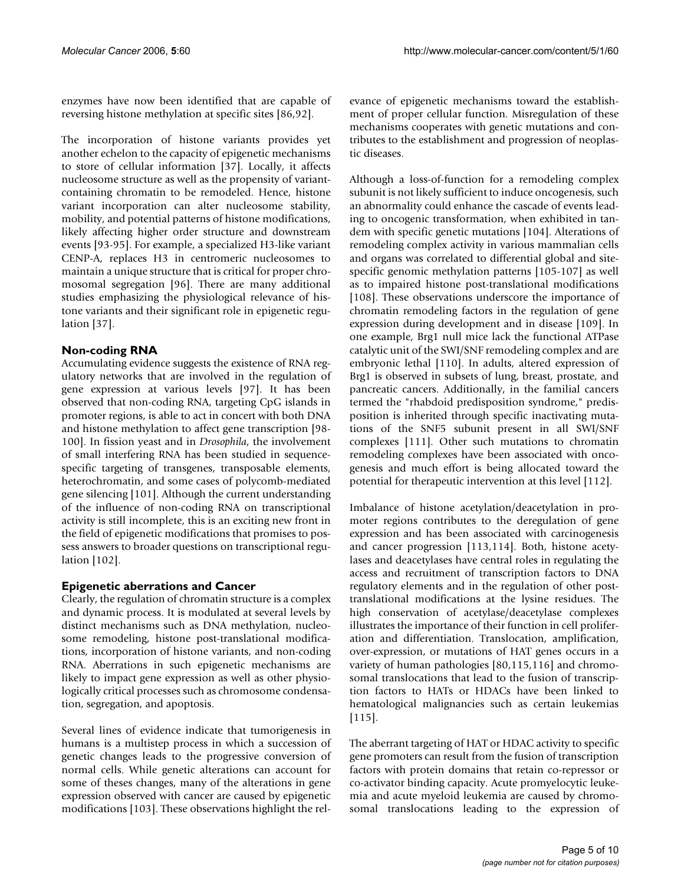enzymes have now been identified that are capable of reversing histone methylation at specific sites [86,92].

The incorporation of histone variants provides yet another echelon to the capacity of epigenetic mechanisms to store of cellular information [37]. Locally, it affects nucleosome structure as well as the propensity of variantcontaining chromatin to be remodeled. Hence, histone variant incorporation can alter nucleosome stability, mobility, and potential patterns of histone modifications, likely affecting higher order structure and downstream events [93-95]. For example, a specialized H3-like variant CENP-A, replaces H3 in centromeric nucleosomes to maintain a unique structure that is critical for proper chromosomal segregation [96]. There are many additional studies emphasizing the physiological relevance of histone variants and their significant role in epigenetic regulation [37].

# **Non-coding RNA**

Accumulating evidence suggests the existence of RNA regulatory networks that are involved in the regulation of gene expression at various levels [97]. It has been observed that non-coding RNA, targeting CpG islands in promoter regions, is able to act in concert with both DNA and histone methylation to affect gene transcription [98- 100]. In fission yeast and in *Drosophila*, the involvement of small interfering RNA has been studied in sequencespecific targeting of transgenes, transposable elements, heterochromatin, and some cases of polycomb-mediated gene silencing [101]. Although the current understanding of the influence of non-coding RNA on transcriptional activity is still incomplete, this is an exciting new front in the field of epigenetic modifications that promises to possess answers to broader questions on transcriptional regulation [102].

# **Epigenetic aberrations and Cancer**

Clearly, the regulation of chromatin structure is a complex and dynamic process. It is modulated at several levels by distinct mechanisms such as DNA methylation, nucleosome remodeling, histone post-translational modifications, incorporation of histone variants, and non-coding RNA. Aberrations in such epigenetic mechanisms are likely to impact gene expression as well as other physiologically critical processes such as chromosome condensation, segregation, and apoptosis.

Several lines of evidence indicate that tumorigenesis in humans is a multistep process in which a succession of genetic changes leads to the progressive conversion of normal cells. While genetic alterations can account for some of theses changes, many of the alterations in gene expression observed with cancer are caused by epigenetic modifications [103]. These observations highlight the relevance of epigenetic mechanisms toward the establishment of proper cellular function. Misregulation of these mechanisms cooperates with genetic mutations and contributes to the establishment and progression of neoplastic diseases.

Although a loss-of-function for a remodeling complex subunit is not likely sufficient to induce oncogenesis, such an abnormality could enhance the cascade of events leading to oncogenic transformation, when exhibited in tandem with specific genetic mutations [104]. Alterations of remodeling complex activity in various mammalian cells and organs was correlated to differential global and sitespecific genomic methylation patterns [105-107] as well as to impaired histone post-translational modifications [108]. These observations underscore the importance of chromatin remodeling factors in the regulation of gene expression during development and in disease [109]. In one example, Brg1 null mice lack the functional ATPase catalytic unit of the SWI/SNF remodeling complex and are embryonic lethal [110]. In adults, altered expression of Brg1 is observed in subsets of lung, breast, prostate, and pancreatic cancers. Additionally, in the familial cancers termed the "rhabdoid predisposition syndrome," predisposition is inherited through specific inactivating mutations of the SNF5 subunit present in all SWI/SNF complexes [111]. Other such mutations to chromatin remodeling complexes have been associated with oncogenesis and much effort is being allocated toward the potential for therapeutic intervention at this level [112].

Imbalance of histone acetylation/deacetylation in promoter regions contributes to the deregulation of gene expression and has been associated with carcinogenesis and cancer progression [113,114]. Both, histone acetylases and deacetylases have central roles in regulating the access and recruitment of transcription factors to DNA regulatory elements and in the regulation of other posttranslational modifications at the lysine residues. The high conservation of acetylase/deacetylase complexes illustrates the importance of their function in cell proliferation and differentiation. Translocation, amplification, over-expression, or mutations of HAT genes occurs in a variety of human pathologies [80,115,116] and chromosomal translocations that lead to the fusion of transcription factors to HATs or HDACs have been linked to hematological malignancies such as certain leukemias [115].

The aberrant targeting of HAT or HDAC activity to specific gene promoters can result from the fusion of transcription factors with protein domains that retain co-repressor or co-activator binding capacity. Acute promyelocytic leukemia and acute myeloid leukemia are caused by chromosomal translocations leading to the expression of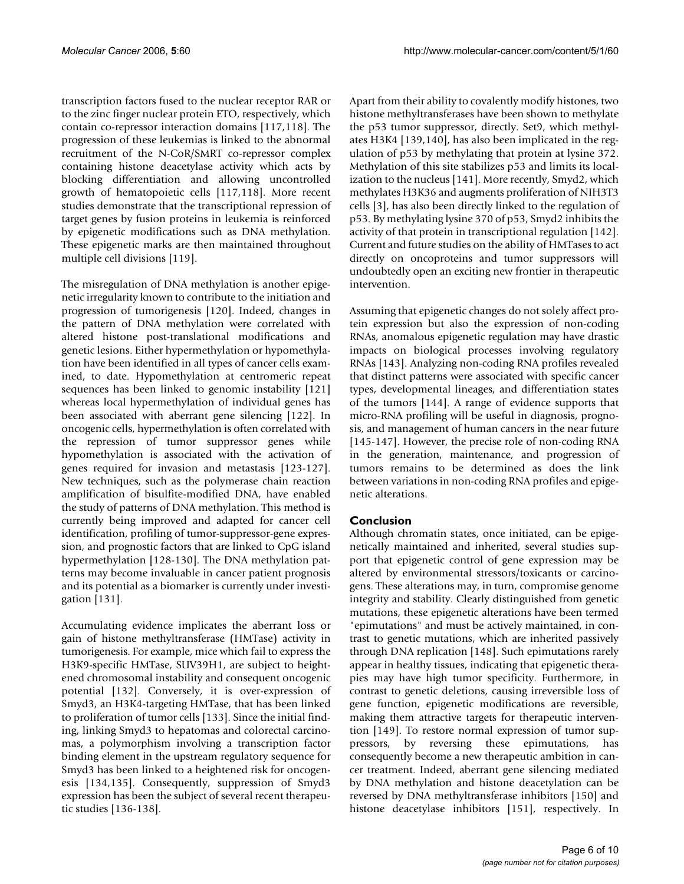transcription factors fused to the nuclear receptor RAR or to the zinc finger nuclear protein ETO, respectively, which contain co-repressor interaction domains [117,118]. The progression of these leukemias is linked to the abnormal recruitment of the N-CoR/SMRT co-repressor complex containing histone deacetylase activity which acts by blocking differentiation and allowing uncontrolled growth of hematopoietic cells [117,118]. More recent studies demonstrate that the transcriptional repression of target genes by fusion proteins in leukemia is reinforced by epigenetic modifications such as DNA methylation. These epigenetic marks are then maintained throughout multiple cell divisions [119].

The misregulation of DNA methylation is another epigenetic irregularity known to contribute to the initiation and progression of tumorigenesis [120]. Indeed, changes in the pattern of DNA methylation were correlated with altered histone post-translational modifications and genetic lesions. Either hypermethylation or hypomethylation have been identified in all types of cancer cells examined, to date. Hypomethylation at centromeric repeat sequences has been linked to genomic instability [121] whereas local hypermethylation of individual genes has been associated with aberrant gene silencing [122]. In oncogenic cells, hypermethylation is often correlated with the repression of tumor suppressor genes while hypomethylation is associated with the activation of genes required for invasion and metastasis [123-127]. New techniques, such as the polymerase chain reaction amplification of bisulfite-modified DNA, have enabled the study of patterns of DNA methylation. This method is currently being improved and adapted for cancer cell identification, profiling of tumor-suppressor-gene expression, and prognostic factors that are linked to CpG island hypermethylation [128-130]. The DNA methylation patterns may become invaluable in cancer patient prognosis and its potential as a biomarker is currently under investigation [131].

Accumulating evidence implicates the aberrant loss or gain of histone methyltransferase (HMTase) activity in tumorigenesis. For example, mice which fail to express the H3K9-specific HMTase, SUV39H1, are subject to heightened chromosomal instability and consequent oncogenic potential [132]. Conversely, it is over-expression of Smyd3, an H3K4-targeting HMTase, that has been linked to proliferation of tumor cells [133]. Since the initial finding, linking Smyd3 to hepatomas and colorectal carcinomas, a polymorphism involving a transcription factor binding element in the upstream regulatory sequence for Smyd3 has been linked to a heightened risk for oncogenesis [134,135]. Consequently, suppression of Smyd3 expression has been the subject of several recent therapeutic studies [136-138].

Apart from their ability to covalently modify histones, two histone methyltransferases have been shown to methylate the p53 tumor suppressor, directly. Set9, which methylates H3K4 [139,140], has also been implicated in the regulation of p53 by methylating that protein at lysine 372. Methylation of this site stabilizes p53 and limits its localization to the nucleus [141]. More recently, Smyd2, which methylates H3K36 and augments proliferation of NIH3T3 cells [3], has also been directly linked to the regulation of p53. By methylating lysine 370 of p53, Smyd2 inhibits the activity of that protein in transcriptional regulation [142]. Current and future studies on the ability of HMTases to act directly on oncoproteins and tumor suppressors will undoubtedly open an exciting new frontier in therapeutic intervention.

Assuming that epigenetic changes do not solely affect protein expression but also the expression of non-coding RNAs, anomalous epigenetic regulation may have drastic impacts on biological processes involving regulatory RNAs [143]. Analyzing non-coding RNA profiles revealed that distinct patterns were associated with specific cancer types, developmental lineages, and differentiation states of the tumors [144]. A range of evidence supports that micro-RNA profiling will be useful in diagnosis, prognosis, and management of human cancers in the near future [145-147]. However, the precise role of non-coding RNA in the generation, maintenance, and progression of tumors remains to be determined as does the link between variations in non-coding RNA profiles and epigenetic alterations.

### **Conclusion**

Although chromatin states, once initiated, can be epigenetically maintained and inherited, several studies support that epigenetic control of gene expression may be altered by environmental stressors/toxicants or carcinogens. These alterations may, in turn, compromise genome integrity and stability. Clearly distinguished from genetic mutations, these epigenetic alterations have been termed "epimutations" and must be actively maintained, in contrast to genetic mutations, which are inherited passively through DNA replication [148]. Such epimutations rarely appear in healthy tissues, indicating that epigenetic therapies may have high tumor specificity. Furthermore, in contrast to genetic deletions, causing irreversible loss of gene function, epigenetic modifications are reversible, making them attractive targets for therapeutic intervention [149]. To restore normal expression of tumor suppressors, by reversing these epimutations, has consequently become a new therapeutic ambition in cancer treatment. Indeed, aberrant gene silencing mediated by DNA methylation and histone deacetylation can be reversed by DNA methyltransferase inhibitors [150] and histone deacetylase inhibitors [151], respectively. In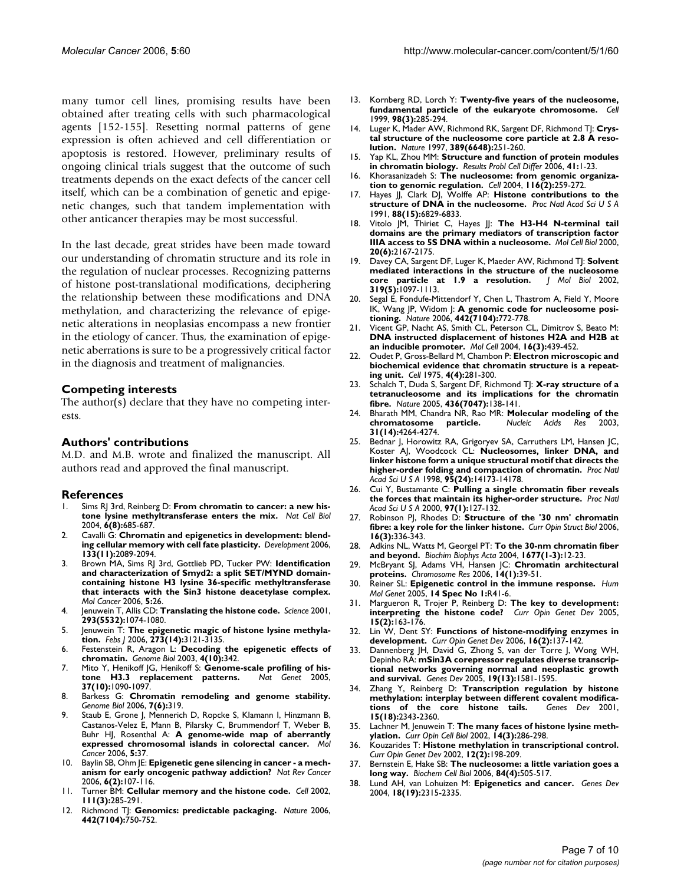many tumor cell lines, promising results have been obtained after treating cells with such pharmacological agents [152-155]. Resetting normal patterns of gene expression is often achieved and cell differentiation or apoptosis is restored. However, preliminary results of ongoing clinical trials suggest that the outcome of such treatments depends on the exact defects of the cancer cell itself, which can be a combination of genetic and epigenetic changes, such that tandem implementation with other anticancer therapies may be most successful.

In the last decade, great strides have been made toward our understanding of chromatin structure and its role in the regulation of nuclear processes. Recognizing patterns of histone post-translational modifications, deciphering the relationship between these modifications and DNA methylation, and characterizing the relevance of epigenetic alterations in neoplasias encompass a new frontier in the etiology of cancer. Thus, the examination of epigenetic aberrations is sure to be a progressively critical factor in the diagnosis and treatment of malignancies.

### **Competing interests**

The author(s) declare that they have no competing interests.

### **Authors' contributions**

M.D. and M.B. wrote and finalized the manuscript. All authors read and approved the final manuscript.

#### **References**

- Sims RJ 3rd, Reinberg D: [From chromatin to cancer: a new his](http://www.ncbi.nlm.nih.gov/entrez/query.fcgi?cmd=Retrieve&db=PubMed&dopt=Abstract&list_uids=15303093)**[tone lysine methyltransferase enters the mix.](http://www.ncbi.nlm.nih.gov/entrez/query.fcgi?cmd=Retrieve&db=PubMed&dopt=Abstract&list_uids=15303093)** *Nat Cell Biol* 2004, **6(8):**685-687.
- Cavalli G: [Chromatin and epigenetics in development: blend](http://www.ncbi.nlm.nih.gov/entrez/query.fcgi?cmd=Retrieve&db=PubMed&dopt=Abstract&list_uids=16672331)**[ing cellular memory with cell fate plasticity.](http://www.ncbi.nlm.nih.gov/entrez/query.fcgi?cmd=Retrieve&db=PubMed&dopt=Abstract&list_uids=16672331)** *Development* 2006, **133(11):**2089-2094.
- 3. Brown MA, Sims RJ 3rd, Gottlieb PD, Tucker PW: **[Identification](http://www.ncbi.nlm.nih.gov/entrez/query.fcgi?cmd=Retrieve&db=PubMed&dopt=Abstract&list_uids=16805913) and characterization of Smyd2: a split SET/MYND domain[containing histone H3 lysine 36-specific methyltransferase](http://www.ncbi.nlm.nih.gov/entrez/query.fcgi?cmd=Retrieve&db=PubMed&dopt=Abstract&list_uids=16805913) that interacts with the Sin3 histone deacetylase complex.** *Mol Cancer* 2006, **5:**26.
- 4. Jenuwein T, Allis CD: **[Translating the histone code.](http://www.ncbi.nlm.nih.gov/entrez/query.fcgi?cmd=Retrieve&db=PubMed&dopt=Abstract&list_uids=11498575)** *Science* 2001, **293(5532):**1074-1080.
- 5. Jenuwein T: **[The epigenetic magic of histone lysine methyla](http://www.ncbi.nlm.nih.gov/entrez/query.fcgi?cmd=Retrieve&db=PubMed&dopt=Abstract&list_uids=16857008)[tion.](http://www.ncbi.nlm.nih.gov/entrez/query.fcgi?cmd=Retrieve&db=PubMed&dopt=Abstract&list_uids=16857008)** *Febs J* 2006, **273(14):**3121-3135.
- 6. Festenstein R, Aragon L: **[Decoding the epigenetic effects of](http://www.ncbi.nlm.nih.gov/entrez/query.fcgi?cmd=Retrieve&db=PubMed&dopt=Abstract&list_uids=14519195) [chromatin.](http://www.ncbi.nlm.nih.gov/entrez/query.fcgi?cmd=Retrieve&db=PubMed&dopt=Abstract&list_uids=14519195)** *Genome Biol* 2003, **4(10):**342.
- 7. Mito Y, Henikoff JG, Henikoff S: **[Genome-scale profiling of his](http://www.ncbi.nlm.nih.gov/entrez/query.fcgi?cmd=Retrieve&db=PubMed&dopt=Abstract&list_uids=16155569)**[tone H3.3 replacement patterns.](http://www.ncbi.nlm.nih.gov/entrez/query.fcgi?cmd=Retrieve&db=PubMed&dopt=Abstract&list_uids=16155569) **37(10):**1090-1097.
- 8. Barkess G: **[Chromatin remodeling and genome stability.](http://www.ncbi.nlm.nih.gov/entrez/query.fcgi?cmd=Retrieve&db=PubMed&dopt=Abstract&list_uids=16817945)** *Genome Biol* 2006, **7(6):**319.
- 9. Staub E, Grone J, Mennerich D, Ropcke S, Klamann I, Hinzmann B, Castanos-Velez E, Mann B, Pilarsky C, Brummendorf T, Weber B, Buhr HJ, Rosenthal A: **[A genome-wide map of aberrantly](http://www.ncbi.nlm.nih.gov/entrez/query.fcgi?cmd=Retrieve&db=PubMed&dopt=Abstract&list_uids=16982006) [expressed chromosomal islands in colorectal cancer.](http://www.ncbi.nlm.nih.gov/entrez/query.fcgi?cmd=Retrieve&db=PubMed&dopt=Abstract&list_uids=16982006)** *Mol Cancer* 2006, **5:**37.
- 10. Baylin SB, Ohm JE: **[Epigenetic gene silencing in cancer a mech](http://www.ncbi.nlm.nih.gov/entrez/query.fcgi?cmd=Retrieve&db=PubMed&dopt=Abstract&list_uids=16491070)[anism for early oncogenic pathway addiction?](http://www.ncbi.nlm.nih.gov/entrez/query.fcgi?cmd=Retrieve&db=PubMed&dopt=Abstract&list_uids=16491070)** *Nat Rev Cancer* 2006, **6(2):**107-116.
- 11. Turner BM: **[Cellular memory and the histone code.](http://www.ncbi.nlm.nih.gov/entrez/query.fcgi?cmd=Retrieve&db=PubMed&dopt=Abstract&list_uids=12419240)** *Cell* 2002, **111(3):**285-291.
- 12. Richmond TJ: **[Genomics: predictable packaging.](http://www.ncbi.nlm.nih.gov/entrez/query.fcgi?cmd=Retrieve&db=PubMed&dopt=Abstract&list_uids=16915272)** *Nature* 2006, **442(7104):**750-752.
- 13. Kornberg RD, Lorch Y: **[Twenty-five years of the nucleosome,](http://www.ncbi.nlm.nih.gov/entrez/query.fcgi?cmd=Retrieve&db=PubMed&dopt=Abstract&list_uids=10458604) [fundamental particle of the eukaryote chromosome.](http://www.ncbi.nlm.nih.gov/entrez/query.fcgi?cmd=Retrieve&db=PubMed&dopt=Abstract&list_uids=10458604)** *Cell* 1999, **98(3):**285-294.
- 14. Luger K, Mader AW, Richmond RK, Sargent DF, Richmond TJ: **[Crys](http://www.ncbi.nlm.nih.gov/entrez/query.fcgi?cmd=Retrieve&db=PubMed&dopt=Abstract&list_uids=9305837)[tal structure of the nucleosome core particle at 2.8 A reso](http://www.ncbi.nlm.nih.gov/entrez/query.fcgi?cmd=Retrieve&db=PubMed&dopt=Abstract&list_uids=9305837)[lution.](http://www.ncbi.nlm.nih.gov/entrez/query.fcgi?cmd=Retrieve&db=PubMed&dopt=Abstract&list_uids=9305837)** *Nature* 1997, **389(6648):**251-260.
- 15. Yap KL, Zhou MM: **[Structure and function of protein modules](http://www.ncbi.nlm.nih.gov/entrez/query.fcgi?cmd=Retrieve&db=PubMed&dopt=Abstract&list_uids=16909888) [in chromatin biology.](http://www.ncbi.nlm.nih.gov/entrez/query.fcgi?cmd=Retrieve&db=PubMed&dopt=Abstract&list_uids=16909888)** *Results Probl Cell Differ* 2006, **41:**1-23.
- 16. Khorasanizadeh S: **[The nucleosome: from genomic organiza](http://www.ncbi.nlm.nih.gov/entrez/query.fcgi?cmd=Retrieve&db=PubMed&dopt=Abstract&list_uids=14744436)[tion to genomic regulation.](http://www.ncbi.nlm.nih.gov/entrez/query.fcgi?cmd=Retrieve&db=PubMed&dopt=Abstract&list_uids=14744436)** *Cell* 2004, **116(2):**259-272.
- 17. Hayes JJ, Clark DJ, Wolffe AP: **[Histone contributions to the](http://www.ncbi.nlm.nih.gov/entrez/query.fcgi?cmd=Retrieve&db=PubMed&dopt=Abstract&list_uids=1650485) [structure of DNA in the nucleosome.](http://www.ncbi.nlm.nih.gov/entrez/query.fcgi?cmd=Retrieve&db=PubMed&dopt=Abstract&list_uids=1650485)** *Proc Natl Acad Sci U S A* 1991, **88(15):**6829-6833.
- 18. Vitolo JM, Thiriet C, Hayes J: [The H3-H4 N-terminal tail](http://www.ncbi.nlm.nih.gov/entrez/query.fcgi?cmd=Retrieve&db=PubMed&dopt=Abstract&list_uids=10688663) **[domains are the primary mediators of transcription factor](http://www.ncbi.nlm.nih.gov/entrez/query.fcgi?cmd=Retrieve&db=PubMed&dopt=Abstract&list_uids=10688663) [IIIA access to 5S DNA within a nucleosome.](http://www.ncbi.nlm.nih.gov/entrez/query.fcgi?cmd=Retrieve&db=PubMed&dopt=Abstract&list_uids=10688663)** *Mol Cell Biol* 2000, **20(6):**2167-2175.
- 19. Davey CA, Sargent DF, Luger K, Maeder AW, Richmond TJ: **[Solvent](http://www.ncbi.nlm.nih.gov/entrez/query.fcgi?cmd=Retrieve&db=PubMed&dopt=Abstract&list_uids=12079350) [mediated interactions in the structure of the nucleosome](http://www.ncbi.nlm.nih.gov/entrez/query.fcgi?cmd=Retrieve&db=PubMed&dopt=Abstract&list_uids=12079350)** [core particle at 1.9 a resolution.](http://www.ncbi.nlm.nih.gov/entrez/query.fcgi?cmd=Retrieve&db=PubMed&dopt=Abstract&list_uids=12079350) **319(5):**1097-1113.
- 20. Segal E, Fondufe-Mittendorf Y, Chen L, Thastrom A, Field Y, Moore IK, Wang JP, Widom J: **[A genomic code for nucleosome posi](http://www.ncbi.nlm.nih.gov/entrez/query.fcgi?cmd=Retrieve&db=PubMed&dopt=Abstract&list_uids=16862119)[tioning.](http://www.ncbi.nlm.nih.gov/entrez/query.fcgi?cmd=Retrieve&db=PubMed&dopt=Abstract&list_uids=16862119)** *Nature* 2006, **442(7104):**772-778.
- 21. Vicent GP, Nacht AS, Smith CL, Peterson CL, Dimitrov S, Beato M: **[DNA instructed displacement of histones H2A and H2B at](http://www.ncbi.nlm.nih.gov/entrez/query.fcgi?cmd=Retrieve&db=PubMed&dopt=Abstract&list_uids=15525516) [an inducible promoter.](http://www.ncbi.nlm.nih.gov/entrez/query.fcgi?cmd=Retrieve&db=PubMed&dopt=Abstract&list_uids=15525516)** *Mol Cell* 2004, **16(3):**439-452.
- 22. Oudet P, Gross-Bellard M, Chambon P: **[Electron microscopic and](http://www.ncbi.nlm.nih.gov/entrez/query.fcgi?cmd=Retrieve&db=PubMed&dopt=Abstract&list_uids=1122558) [biochemical evidence that chromatin structure is a repeat](http://www.ncbi.nlm.nih.gov/entrez/query.fcgi?cmd=Retrieve&db=PubMed&dopt=Abstract&list_uids=1122558)[ing unit.](http://www.ncbi.nlm.nih.gov/entrez/query.fcgi?cmd=Retrieve&db=PubMed&dopt=Abstract&list_uids=1122558)** *Cell* 1975, **4(4):**281-300.
- 23. Schalch T, Duda S, Sargent DF, Richmond TJ: **[X-ray structure of a](http://www.ncbi.nlm.nih.gov/entrez/query.fcgi?cmd=Retrieve&db=PubMed&dopt=Abstract&list_uids=16001076) [tetranucleosome and its implications for the chromatin](http://www.ncbi.nlm.nih.gov/entrez/query.fcgi?cmd=Retrieve&db=PubMed&dopt=Abstract&list_uids=16001076) [fibre.](http://www.ncbi.nlm.nih.gov/entrez/query.fcgi?cmd=Retrieve&db=PubMed&dopt=Abstract&list_uids=16001076)** *Nature* 2005, **436(7047):**138-141.
- 24. Bharath MM, Chandra NR, Rao MR: **[Molecular modeling of the](http://www.ncbi.nlm.nih.gov/entrez/query.fcgi?cmd=Retrieve&db=PubMed&dopt=Abstract&list_uids=12853645) [chromatosome particle.](http://www.ncbi.nlm.nih.gov/entrez/query.fcgi?cmd=Retrieve&db=PubMed&dopt=Abstract&list_uids=12853645)** *Nucleic Acids Res* 2003, **31(14):**4264-4274.
- Bednar J, Horowitz RA, Grigoryev SA, Carruthers LM, Hansen JC, Koster AJ, Woodcock CL: **[Nucleosomes, linker DNA, and](http://www.ncbi.nlm.nih.gov/entrez/query.fcgi?cmd=Retrieve&db=PubMed&dopt=Abstract&list_uids=9826673) [linker histone form a unique structural motif that directs the](http://www.ncbi.nlm.nih.gov/entrez/query.fcgi?cmd=Retrieve&db=PubMed&dopt=Abstract&list_uids=9826673) [higher-order folding and compaction of chromatin.](http://www.ncbi.nlm.nih.gov/entrez/query.fcgi?cmd=Retrieve&db=PubMed&dopt=Abstract&list_uids=9826673)** *Proc Natl Acad Sci U S A* 1998, **95(24):**14173-14178.
- 26. Cui Y, Bustamante C: **[Pulling a single chromatin fiber reveals](http://www.ncbi.nlm.nih.gov/entrez/query.fcgi?cmd=Retrieve&db=PubMed&dopt=Abstract&list_uids=10618382) [the forces that maintain its higher-order structure.](http://www.ncbi.nlm.nih.gov/entrez/query.fcgi?cmd=Retrieve&db=PubMed&dopt=Abstract&list_uids=10618382)** *Proc Natl Acad Sci U S A* 2000, **97(1):**127-132.
- 27. Robinson PJ, Rhodes D: **[Structure of the '30 nm' chromatin](http://www.ncbi.nlm.nih.gov/entrez/query.fcgi?cmd=Retrieve&db=PubMed&dopt=Abstract&list_uids=16714106) [fibre: a key role for the linker histone.](http://www.ncbi.nlm.nih.gov/entrez/query.fcgi?cmd=Retrieve&db=PubMed&dopt=Abstract&list_uids=16714106)** *Curr Opin Struct Biol* 2006, **16(3):**336-343.
- 28. Adkins NL, Watts M, Georgel PT: **[To the 30-nm chromatin fiber](http://www.ncbi.nlm.nih.gov/entrez/query.fcgi?cmd=Retrieve&db=PubMed&dopt=Abstract&list_uids=15020041) [and beyond.](http://www.ncbi.nlm.nih.gov/entrez/query.fcgi?cmd=Retrieve&db=PubMed&dopt=Abstract&list_uids=15020041)** *Biochim Biophys Acta* 2004, **1677(1-3):**12-23.
- 29. McBryant SJ, Adams VH, Hansen JC: **[Chromatin architectural](http://www.ncbi.nlm.nih.gov/entrez/query.fcgi?cmd=Retrieve&db=PubMed&dopt=Abstract&list_uids=16506095) [proteins.](http://www.ncbi.nlm.nih.gov/entrez/query.fcgi?cmd=Retrieve&db=PubMed&dopt=Abstract&list_uids=16506095)** *Chromosome Res* 2006, **14(1):**39-51.
- 30. Reiner SL: **[Epigenetic control in the immune response.](http://www.ncbi.nlm.nih.gov/entrez/query.fcgi?cmd=Retrieve&db=PubMed&dopt=Abstract&list_uids=15809272)** *Hum Mol Genet* 2005, **14 Spec No 1:**R41-6.
- 31. Margueron R, Trojer P, Reinberg D: **[The key to development:](http://www.ncbi.nlm.nih.gov/entrez/query.fcgi?cmd=Retrieve&db=PubMed&dopt=Abstract&list_uids=15797199) [interpreting the histone code?](http://www.ncbi.nlm.nih.gov/entrez/query.fcgi?cmd=Retrieve&db=PubMed&dopt=Abstract&list_uids=15797199)** *Curr Opin Genet Dev* 2005, **15(2):**163-176.
- 32. Lin W, Dent SY: **[Functions of histone-modifying enzymes in](http://www.ncbi.nlm.nih.gov/entrez/query.fcgi?cmd=Retrieve&db=PubMed&dopt=Abstract&list_uids=16503130) [development.](http://www.ncbi.nlm.nih.gov/entrez/query.fcgi?cmd=Retrieve&db=PubMed&dopt=Abstract&list_uids=16503130)** *Curr Opin Genet Dev* 2006, **16(2):**137-142.
- Dannenberg JH, David G, Zhong S, van der Torre J, Wong WH, Depinho RA: **[mSin3A corepressor regulates diverse transcrip](http://www.ncbi.nlm.nih.gov/entrez/query.fcgi?cmd=Retrieve&db=PubMed&dopt=Abstract&list_uids=15998811)[tional networks governing normal and neoplastic growth](http://www.ncbi.nlm.nih.gov/entrez/query.fcgi?cmd=Retrieve&db=PubMed&dopt=Abstract&list_uids=15998811) [and survival.](http://www.ncbi.nlm.nih.gov/entrez/query.fcgi?cmd=Retrieve&db=PubMed&dopt=Abstract&list_uids=15998811)** *Genes Dev* 2005, **19(13):**1581-1595.
- 34. Zhang Y, Reinberg D: **[Transcription regulation by histone](http://www.ncbi.nlm.nih.gov/entrez/query.fcgi?cmd=Retrieve&db=PubMed&dopt=Abstract&list_uids=11562345) [methylation: interplay between different covalent modifica](http://www.ncbi.nlm.nih.gov/entrez/query.fcgi?cmd=Retrieve&db=PubMed&dopt=Abstract&list_uids=11562345)[tions of the core histone tails.](http://www.ncbi.nlm.nih.gov/entrez/query.fcgi?cmd=Retrieve&db=PubMed&dopt=Abstract&list_uids=11562345)** *Genes Dev* 2001, **15(18):**2343-2360.
- 35. Lachner M, Jenuwein T: **[The many faces of histone lysine meth](http://www.ncbi.nlm.nih.gov/entrez/query.fcgi?cmd=Retrieve&db=PubMed&dopt=Abstract&list_uids=12067650)[ylation.](http://www.ncbi.nlm.nih.gov/entrez/query.fcgi?cmd=Retrieve&db=PubMed&dopt=Abstract&list_uids=12067650)** *Curr Opin Cell Biol* 2002, **14(3):**286-298.
- 36. Kouzarides T: **[Histone methylation in transcriptional control.](http://www.ncbi.nlm.nih.gov/entrez/query.fcgi?cmd=Retrieve&db=PubMed&dopt=Abstract&list_uids=11893494)** *Curr Opin Genet Dev* 2002, **12(2):**198-209.
- 37. Bernstein E, Hake SB: **[The nucleosome: a little variation goes a](http://www.ncbi.nlm.nih.gov/entrez/query.fcgi?cmd=Retrieve&db=PubMed&dopt=Abstract&list_uids=16936823) [long way.](http://www.ncbi.nlm.nih.gov/entrez/query.fcgi?cmd=Retrieve&db=PubMed&dopt=Abstract&list_uids=16936823)** *Biochem Cell Biol* 2006, **84(4):**505-517.
- 38. Lund AH, van Lohuizen M: **[Epigenetics and cancer.](http://www.ncbi.nlm.nih.gov/entrez/query.fcgi?cmd=Retrieve&db=PubMed&dopt=Abstract&list_uids=15466484)** *Genes Dev* 2004, **18(19):**2315-2335.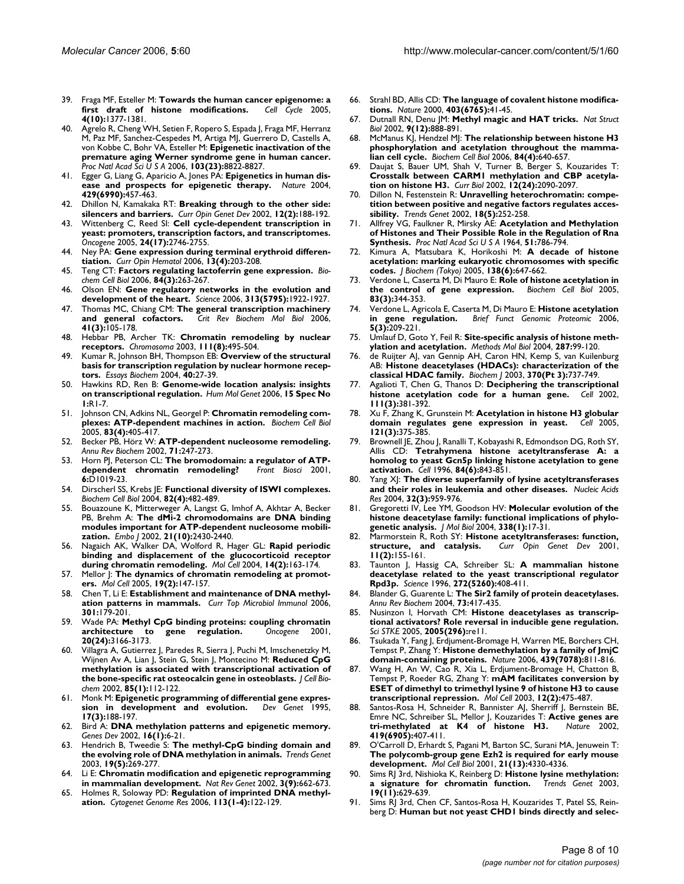- 39. Fraga MF, Esteller M: **[Towards the human cancer epigenome: a](http://www.ncbi.nlm.nih.gov/entrez/query.fcgi?cmd=Retrieve&db=PubMed&dopt=Abstract&list_uids=16205112)** [first draft of histone modifications.](http://www.ncbi.nlm.nih.gov/entrez/query.fcgi?cmd=Retrieve&db=PubMed&dopt=Abstract&list_uids=16205112) **4(10):**1377-1381.
- 40. Agrelo R, Cheng WH, Setien F, Ropero S, Espada J, Fraga MF, Herranz M, Paz MF, Sanchez-Cespedes M, Artiga MJ, Guerrero D, Castells A, von Kobbe C, Bohr VA, Esteller M: **[Epigenetic inactivation of the](http://www.ncbi.nlm.nih.gov/entrez/query.fcgi?cmd=Retrieve&db=PubMed&dopt=Abstract&list_uids=16723399) [premature aging Werner syndrome gene in human cancer.](http://www.ncbi.nlm.nih.gov/entrez/query.fcgi?cmd=Retrieve&db=PubMed&dopt=Abstract&list_uids=16723399)** *Proc Natl Acad Sci U S A* 2006, **103(23):**8822-8827.
- 41. Egger G, Liang G, Aparicio A, Jones PA: **[Epigenetics in human dis](http://www.ncbi.nlm.nih.gov/entrez/query.fcgi?cmd=Retrieve&db=PubMed&dopt=Abstract&list_uids=15164071)[ease and prospects for epigenetic therapy.](http://www.ncbi.nlm.nih.gov/entrez/query.fcgi?cmd=Retrieve&db=PubMed&dopt=Abstract&list_uids=15164071)** *Nature* 2004, **429(6990):**457-463.
- 42. Dhillon N, Kamakaka RT: **[Breaking through to the other side:](http://www.ncbi.nlm.nih.gov/entrez/query.fcgi?cmd=Retrieve&db=PubMed&dopt=Abstract&list_uids=11893492) [silencers and barriers.](http://www.ncbi.nlm.nih.gov/entrez/query.fcgi?cmd=Retrieve&db=PubMed&dopt=Abstract&list_uids=11893492)** *Curr Opin Genet Dev* 2002, **12(2):**188-192.
- 43. Wittenberg C, Reed SI: **[Cell cycle-dependent transcription in](http://www.ncbi.nlm.nih.gov/entrez/query.fcgi?cmd=Retrieve&db=PubMed&dopt=Abstract&list_uids=15838511) [yeast: promoters, transcription factors, and transcriptomes.](http://www.ncbi.nlm.nih.gov/entrez/query.fcgi?cmd=Retrieve&db=PubMed&dopt=Abstract&list_uids=15838511)** *Oncogene* 2005, **24(17):**2746-2755.
- 44. Ney PA: **[Gene expression during terminal erythroid differen](http://www.ncbi.nlm.nih.gov/entrez/query.fcgi?cmd=Retrieve&db=PubMed&dopt=Abstract&list_uids=16755214)[tiation.](http://www.ncbi.nlm.nih.gov/entrez/query.fcgi?cmd=Retrieve&db=PubMed&dopt=Abstract&list_uids=16755214)** *Curr Opin Hematol* 2006, **13(4):**203-208.
- 45. Teng CT: **[Factors regulating lactoferrin gene expression.](http://www.ncbi.nlm.nih.gov/entrez/query.fcgi?cmd=Retrieve&db=PubMed&dopt=Abstract&list_uids=16936795)** *Biochem Cell Biol* 2006, **84(3):**263-267.
- 46. Olson EN: **[Gene regulatory networks in the evolution and](http://www.ncbi.nlm.nih.gov/entrez/query.fcgi?cmd=Retrieve&db=PubMed&dopt=Abstract&list_uids=17008524) [development of the heart.](http://www.ncbi.nlm.nih.gov/entrez/query.fcgi?cmd=Retrieve&db=PubMed&dopt=Abstract&list_uids=17008524)** *Science* 2006, **313(5795):**1922-1927.
- 47. Thomas MC, Chiang CM: **[The general transcription machinery](http://www.ncbi.nlm.nih.gov/entrez/query.fcgi?cmd=Retrieve&db=PubMed&dopt=Abstract&list_uids=16858867) [and general cofactors.](http://www.ncbi.nlm.nih.gov/entrez/query.fcgi?cmd=Retrieve&db=PubMed&dopt=Abstract&list_uids=16858867)** *Crit Rev Biochem Mol Biol* 2006, **41(3):**105-178.
- 48. Hebbar PB, Archer TK: **[Chromatin remodeling by nuclear](http://www.ncbi.nlm.nih.gov/entrez/query.fcgi?cmd=Retrieve&db=PubMed&dopt=Abstract&list_uids=12743713) [receptors.](http://www.ncbi.nlm.nih.gov/entrez/query.fcgi?cmd=Retrieve&db=PubMed&dopt=Abstract&list_uids=12743713)** *Chromosoma* 2003, **111(8):**495-504.
- 49. Kumar R, Johnson BH, Thompson EB: **[Overview of the structural](http://www.ncbi.nlm.nih.gov/entrez/query.fcgi?cmd=Retrieve&db=PubMed&dopt=Abstract&list_uids=15242337) [basis for transcription regulation by nuclear hormone recep](http://www.ncbi.nlm.nih.gov/entrez/query.fcgi?cmd=Retrieve&db=PubMed&dopt=Abstract&list_uids=15242337)[tors.](http://www.ncbi.nlm.nih.gov/entrez/query.fcgi?cmd=Retrieve&db=PubMed&dopt=Abstract&list_uids=15242337)** *Essays Biochem* 2004, **40:**27-39.
- 50. Hawkins RD, Ren B: **[Genome-wide location analysis: insights](http://www.ncbi.nlm.nih.gov/entrez/query.fcgi?cmd=Retrieve&db=PubMed&dopt=Abstract&list_uids=16651365) [on transcriptional regulation.](http://www.ncbi.nlm.nih.gov/entrez/query.fcgi?cmd=Retrieve&db=PubMed&dopt=Abstract&list_uids=16651365)** *Hum Mol Genet* 2006, **15 Spec No 1:**R1-7.
- 51. Johnson CN, Adkins NL, Georgel P: **[Chromatin remodeling com](http://www.ncbi.nlm.nih.gov/entrez/query.fcgi?cmd=Retrieve&db=PubMed&dopt=Abstract&list_uids=16094444)[plexes: ATP-dependent machines in action.](http://www.ncbi.nlm.nih.gov/entrez/query.fcgi?cmd=Retrieve&db=PubMed&dopt=Abstract&list_uids=16094444)** *Biochem Cell Biol* 2005, **83(4):**405-417.
- Becker PB, Hörz W: [ATP-dependent nucleosome remodeling.](http://www.ncbi.nlm.nih.gov/entrez/query.fcgi?cmd=Retrieve&db=PubMed&dopt=Abstract&list_uids=12045097) *Annu Rev Biochem* 2002, **71:**247-273.
- 53. Horn PJ, Peterson CL: **The bromodomain: a regulator of ATP-**<br>dependent chromatin remodeling? Front Biosci 2001, [dependent chromatin remodeling?](http://www.ncbi.nlm.nih.gov/entrez/query.fcgi?cmd=Retrieve&db=PubMed&dopt=Abstract&list_uids=11487477) **6:**D1019-23.
- 54. Dirscherl SS, Krebs JE: **[Functional diversity of ISWI complexes.](http://www.ncbi.nlm.nih.gov/entrez/query.fcgi?cmd=Retrieve&db=PubMed&dopt=Abstract&list_uids=15284901)** *Biochem Cell Biol* 2004, **82(4):**482-489.
- 55. Bouazoune K, Mitterweger A, Langst G, Imhof A, Akhtar A, Becker PB, Brehm A: **[The dMi-2 chromodomains are DNA binding](http://www.ncbi.nlm.nih.gov/entrez/query.fcgi?cmd=Retrieve&db=PubMed&dopt=Abstract&list_uids=12006495) [modules important for ATP-dependent nucleosome mobili](http://www.ncbi.nlm.nih.gov/entrez/query.fcgi?cmd=Retrieve&db=PubMed&dopt=Abstract&list_uids=12006495)[zation.](http://www.ncbi.nlm.nih.gov/entrez/query.fcgi?cmd=Retrieve&db=PubMed&dopt=Abstract&list_uids=12006495)** *Embo J* 2002, **21(10):**2430-2440.
- 56. Nagaich AK, Walker DA, Wolford R, Hager GL: **[Rapid periodic](http://www.ncbi.nlm.nih.gov/entrez/query.fcgi?cmd=Retrieve&db=PubMed&dopt=Abstract&list_uids=15099516) [binding and displacement of the glucocorticoid receptor](http://www.ncbi.nlm.nih.gov/entrez/query.fcgi?cmd=Retrieve&db=PubMed&dopt=Abstract&list_uids=15099516) [during chromatin remodeling.](http://www.ncbi.nlm.nih.gov/entrez/query.fcgi?cmd=Retrieve&db=PubMed&dopt=Abstract&list_uids=15099516)** *Mol Cell* 2004, **14(2):**163-174.
- 57. Mellor J: **[The dynamics of chromatin remodeling at promot](http://www.ncbi.nlm.nih.gov/entrez/query.fcgi?cmd=Retrieve&db=PubMed&dopt=Abstract&list_uids=16039585)[ers.](http://www.ncbi.nlm.nih.gov/entrez/query.fcgi?cmd=Retrieve&db=PubMed&dopt=Abstract&list_uids=16039585)** *Mol Cell* 2005, **19(2):**147-157.
- 58. Chen T, Li E: **[Establishment and maintenance of DNA methyl](http://www.ncbi.nlm.nih.gov/entrez/query.fcgi?cmd=Retrieve&db=PubMed&dopt=Abstract&list_uids=16570848)[ation patterns in mammals.](http://www.ncbi.nlm.nih.gov/entrez/query.fcgi?cmd=Retrieve&db=PubMed&dopt=Abstract&list_uids=16570848)** *Curr Top Microbiol Immunol* 2006, **301:**179-201.
- 59. Wade PA: **[Methyl CpG binding proteins: coupling chromatin](http://www.ncbi.nlm.nih.gov/entrez/query.fcgi?cmd=Retrieve&db=PubMed&dopt=Abstract&list_uids=11420733) [architecture to gene regulation.](http://www.ncbi.nlm.nih.gov/entrez/query.fcgi?cmd=Retrieve&db=PubMed&dopt=Abstract&list_uids=11420733)** *Oncogene* 2001, **20(24):**3166-3173.
- 60. Villagra A, Gutierrez J, Paredes R, Sierra J, Puchi M, Imschenetzky M, Wijnen Av A, Lian J, Stein G, Stein J, Montecino M: [Reduced CpG](http://www.ncbi.nlm.nih.gov/entrez/query.fcgi?cmd=Retrieve&db=PubMed&dopt=Abstract&list_uids=11891855) **[methylation is associated with transcriptional activation of](http://www.ncbi.nlm.nih.gov/entrez/query.fcgi?cmd=Retrieve&db=PubMed&dopt=Abstract&list_uids=11891855) [the bone-specific rat osteocalcin gene in osteoblasts.](http://www.ncbi.nlm.nih.gov/entrez/query.fcgi?cmd=Retrieve&db=PubMed&dopt=Abstract&list_uids=11891855)** *J Cell Biochem* 2002, **85(1):**112-122.
- 61. Monk M: **[Epigenetic programming of differential gene expres](http://www.ncbi.nlm.nih.gov/entrez/query.fcgi?cmd=Retrieve&db=PubMed&dopt=Abstract&list_uids=8565325)**[sion in development and evolution.](http://www.ncbi.nlm.nih.gov/entrez/query.fcgi?cmd=Retrieve&db=PubMed&dopt=Abstract&list_uids=8565325) **17(3):**188-197.
- 62. Bird A: **[DNA methylation patterns and epigenetic memory.](http://www.ncbi.nlm.nih.gov/entrez/query.fcgi?cmd=Retrieve&db=PubMed&dopt=Abstract&list_uids=11782440)** *Genes Dev* 2002, **16(1):**6-21.
- 63. Hendrich B, Tweedie S: **[The methyl-CpG binding domain and](http://www.ncbi.nlm.nih.gov/entrez/query.fcgi?cmd=Retrieve&db=PubMed&dopt=Abstract&list_uids=12711219) [the evolving role of DNA methylation in animals.](http://www.ncbi.nlm.nih.gov/entrez/query.fcgi?cmd=Retrieve&db=PubMed&dopt=Abstract&list_uids=12711219)** *Trends Genet* 2003, **19(5):**269-277.
- 64. Li E: **[Chromatin modification and epigenetic reprogramming](http://www.ncbi.nlm.nih.gov/entrez/query.fcgi?cmd=Retrieve&db=PubMed&dopt=Abstract&list_uids=12209141) [in mammalian development.](http://www.ncbi.nlm.nih.gov/entrez/query.fcgi?cmd=Retrieve&db=PubMed&dopt=Abstract&list_uids=12209141)** *Nat Rev Genet* 2002, **3(9):**662-673.
- 65. Holmes R, Soloway PD: **[Regulation of imprinted DNA methyl](http://www.ncbi.nlm.nih.gov/entrez/query.fcgi?cmd=Retrieve&db=PubMed&dopt=Abstract&list_uids=16575171)[ation.](http://www.ncbi.nlm.nih.gov/entrez/query.fcgi?cmd=Retrieve&db=PubMed&dopt=Abstract&list_uids=16575171)** *Cytogenet Genome Res* 2006, **113(1-4):**122-129.
- 66. Strahl BD, Allis CD: **[The language of covalent histone modifica](http://www.ncbi.nlm.nih.gov/entrez/query.fcgi?cmd=Retrieve&db=PubMed&dopt=Abstract&list_uids=10638745)[tions.](http://www.ncbi.nlm.nih.gov/entrez/query.fcgi?cmd=Retrieve&db=PubMed&dopt=Abstract&list_uids=10638745)** *Nature* 2000, **403(6765):**41-45.
- 67. Dutnall RN, Denu JM: **[Methyl magic and HAT tricks.](http://www.ncbi.nlm.nih.gov/entrez/query.fcgi?cmd=Retrieve&db=PubMed&dopt=Abstract&list_uids=12447351)** *Nat Struct Biol* 2002, **9(12):**888-891.
- 68. McManus KJ, Hendzel MJ: **[The relationship between histone H3](http://www.ncbi.nlm.nih.gov/entrez/query.fcgi?cmd=Retrieve&db=PubMed&dopt=Abstract&list_uids=16936834) [phosphorylation and acetylation throughout the mamma](http://www.ncbi.nlm.nih.gov/entrez/query.fcgi?cmd=Retrieve&db=PubMed&dopt=Abstract&list_uids=16936834)[lian cell cycle.](http://www.ncbi.nlm.nih.gov/entrez/query.fcgi?cmd=Retrieve&db=PubMed&dopt=Abstract&list_uids=16936834)** *Biochem Cell Biol* 2006, **84(4):**640-657.
- 69. Daujat S, Bauer UM, Shah V, Turner B, Berger S, Kouzarides T: **[Crosstalk between CARM1 methylation and CBP acetyla](http://www.ncbi.nlm.nih.gov/entrez/query.fcgi?cmd=Retrieve&db=PubMed&dopt=Abstract&list_uids=12498683)[tion on histone H3.](http://www.ncbi.nlm.nih.gov/entrez/query.fcgi?cmd=Retrieve&db=PubMed&dopt=Abstract&list_uids=12498683)** *Curr Biol* 2002, **12(24):**2090-2097.
- 70. Dillon N, Festenstein R: **[Unravelling heterochromatin: compe](http://www.ncbi.nlm.nih.gov/entrez/query.fcgi?cmd=Retrieve&db=PubMed&dopt=Abstract&list_uids=12047950)[tition between positive and negative factors regulates acces](http://www.ncbi.nlm.nih.gov/entrez/query.fcgi?cmd=Retrieve&db=PubMed&dopt=Abstract&list_uids=12047950)[sibility.](http://www.ncbi.nlm.nih.gov/entrez/query.fcgi?cmd=Retrieve&db=PubMed&dopt=Abstract&list_uids=12047950)** *Trends Genet* 2002, **18(5):**252-258.
- 71. Allfrey VG, Faulkner R, Mirsky AE: **[Acetylation and Methylation](http://www.ncbi.nlm.nih.gov/entrez/query.fcgi?cmd=Retrieve&db=PubMed&dopt=Abstract&list_uids=14172992) [of Histones and Their Possible Role in the Regulation of Rna](http://www.ncbi.nlm.nih.gov/entrez/query.fcgi?cmd=Retrieve&db=PubMed&dopt=Abstract&list_uids=14172992) [Synthesis.](http://www.ncbi.nlm.nih.gov/entrez/query.fcgi?cmd=Retrieve&db=PubMed&dopt=Abstract&list_uids=14172992)** *Proc Natl Acad Sci U S A* 1964, **51:**786-794.
- 72. Kimura A, Matsubara K, Horikoshi M: **[A decade of histone](http://www.ncbi.nlm.nih.gov/entrez/query.fcgi?cmd=Retrieve&db=PubMed&dopt=Abstract&list_uids=16428293) [acetylation: marking eukaryotic chromosomes with specific](http://www.ncbi.nlm.nih.gov/entrez/query.fcgi?cmd=Retrieve&db=PubMed&dopt=Abstract&list_uids=16428293) [codes.](http://www.ncbi.nlm.nih.gov/entrez/query.fcgi?cmd=Retrieve&db=PubMed&dopt=Abstract&list_uids=16428293)** *J Biochem (Tokyo)* 2005, **138(6):**647-662.
- 73. Verdone L, Caserta M, Di Mauro E: **[Role of histone acetylation in](http://www.ncbi.nlm.nih.gov/entrez/query.fcgi?cmd=Retrieve&db=PubMed&dopt=Abstract&list_uids=15959560) [the control of gene expression.](http://www.ncbi.nlm.nih.gov/entrez/query.fcgi?cmd=Retrieve&db=PubMed&dopt=Abstract&list_uids=15959560)** *Biochem Cell Biol* 2005, **83(3):**344-353.
- 74. Verdone L, Agricola E, Caserta M, Di Mauro E: **[Histone acetylation](http://www.ncbi.nlm.nih.gov/entrez/query.fcgi?cmd=Retrieve&db=PubMed&dopt=Abstract&list_uids=16877467) [in gene regulation.](http://www.ncbi.nlm.nih.gov/entrez/query.fcgi?cmd=Retrieve&db=PubMed&dopt=Abstract&list_uids=16877467)** *Brief Funct Genomic Proteomic* 2006, **5(3):**209-221.
- Umlauf D, Goto Y, Feil R: [Site-specific analysis of histone meth](http://www.ncbi.nlm.nih.gov/entrez/query.fcgi?cmd=Retrieve&db=PubMed&dopt=Abstract&list_uids=15273407)**[ylation and acetylation.](http://www.ncbi.nlm.nih.gov/entrez/query.fcgi?cmd=Retrieve&db=PubMed&dopt=Abstract&list_uids=15273407)** *Methods Mol Biol* 2004, **287:**99-120.
- 76. de Ruijter AJ, van Gennip AH, Caron HN, Kemp S, van Kuilenburg AB: **[Histone deacetylases \(HDACs\): characterization of the](http://www.ncbi.nlm.nih.gov/entrez/query.fcgi?cmd=Retrieve&db=PubMed&dopt=Abstract&list_uids=12429021) [classical HDAC family.](http://www.ncbi.nlm.nih.gov/entrez/query.fcgi?cmd=Retrieve&db=PubMed&dopt=Abstract&list_uids=12429021)** *Biochem J* 2003, **370(Pt 3):**737-749.
- 77. Agalioti T, Chen G, Thanos D: **[Deciphering the transcriptional](http://www.ncbi.nlm.nih.gov/entrez/query.fcgi?cmd=Retrieve&db=PubMed&dopt=Abstract&list_uids=12419248) [histone acetylation code for a human gene.](http://www.ncbi.nlm.nih.gov/entrez/query.fcgi?cmd=Retrieve&db=PubMed&dopt=Abstract&list_uids=12419248)** *Cell* 2002, **111(3):**381-392.
- 78. Xu F, Zhang K, Grunstein M: **[Acetylation in histone H3 globular](http://www.ncbi.nlm.nih.gov/entrez/query.fcgi?cmd=Retrieve&db=PubMed&dopt=Abstract&list_uids=15882620) [domain regulates gene expression in yeast.](http://www.ncbi.nlm.nih.gov/entrez/query.fcgi?cmd=Retrieve&db=PubMed&dopt=Abstract&list_uids=15882620)** *Cell* 2005, **121(3):**375-385.
- 79. Brownell JE, Zhou J, Ranalli T, Kobayashi R, Edmondson DG, Roth SY, Allis CD: **[Tetrahymena histone acetyltransferase A: a](http://www.ncbi.nlm.nih.gov/entrez/query.fcgi?cmd=Retrieve&db=PubMed&dopt=Abstract&list_uids=8601308) [homolog to yeast Gcn5p linking histone acetylation to gene](http://www.ncbi.nlm.nih.gov/entrez/query.fcgi?cmd=Retrieve&db=PubMed&dopt=Abstract&list_uids=8601308) [activation.](http://www.ncbi.nlm.nih.gov/entrez/query.fcgi?cmd=Retrieve&db=PubMed&dopt=Abstract&list_uids=8601308)** *Cell* 1996, **84(6):**843-851.
- 80. Yang XJ: **[The diverse superfamily of lysine acetyltransferases](http://www.ncbi.nlm.nih.gov/entrez/query.fcgi?cmd=Retrieve&db=PubMed&dopt=Abstract&list_uids=14960713) [and their roles in leukemia and other diseases.](http://www.ncbi.nlm.nih.gov/entrez/query.fcgi?cmd=Retrieve&db=PubMed&dopt=Abstract&list_uids=14960713)** *Nucleic Acids Res* 2004, **32(3):**959-976.
- 81. Gregoretti IV, Lee YM, Goodson HV: **[Molecular evolution of the](http://www.ncbi.nlm.nih.gov/entrez/query.fcgi?cmd=Retrieve&db=PubMed&dopt=Abstract&list_uids=15050820) [histone deacetylase family: functional implications of phylo](http://www.ncbi.nlm.nih.gov/entrez/query.fcgi?cmd=Retrieve&db=PubMed&dopt=Abstract&list_uids=15050820)[genetic analysis.](http://www.ncbi.nlm.nih.gov/entrez/query.fcgi?cmd=Retrieve&db=PubMed&dopt=Abstract&list_uids=15050820)** *J Mol Biol* 2004, **338(1):**17-31.
- 82. Marmorstein R, Roth SY: **[Histone acetyltransferases: function,](http://www.ncbi.nlm.nih.gov/entrez/query.fcgi?cmd=Retrieve&db=PubMed&dopt=Abstract&list_uids=11250138) [structure, and catalysis.](http://www.ncbi.nlm.nih.gov/entrez/query.fcgi?cmd=Retrieve&db=PubMed&dopt=Abstract&list_uids=11250138)** *Curr Opin Genet Dev* 2001, **11(2):**155-161.
- 83. Taunton J, Hassig CA, Schreiber SL: **[A mammalian histone](http://www.ncbi.nlm.nih.gov/entrez/query.fcgi?cmd=Retrieve&db=PubMed&dopt=Abstract&list_uids=8602529) [deacetylase related to the yeast transcriptional regulator](http://www.ncbi.nlm.nih.gov/entrez/query.fcgi?cmd=Retrieve&db=PubMed&dopt=Abstract&list_uids=8602529) [Rpd3p.](http://www.ncbi.nlm.nih.gov/entrez/query.fcgi?cmd=Retrieve&db=PubMed&dopt=Abstract&list_uids=8602529)** *Science* 1996, **272(5260):**408-411.
- Blander G, Guarente L: The Sir<sub>2</sub> family of protein deacetylases. *Annu Rev Biochem* 2004, **73:**417-435.
- Nusinzon I, Horvath CM: [Histone deacetylases as transcrip](http://www.ncbi.nlm.nih.gov/entrez/query.fcgi?cmd=Retrieve&db=PubMed&dopt=Abstract&list_uids=16091625)**[tional activators? Role reversal in inducible gene regulation.](http://www.ncbi.nlm.nih.gov/entrez/query.fcgi?cmd=Retrieve&db=PubMed&dopt=Abstract&list_uids=16091625)** *Sci STKE* 2005, **2005(296):**re11.
- 86. Tsukada Y, Fang J, Erdjument-Bromage H, Warren ME, Borchers CH, Tempst P, Zhang Y: **[Histone demethylation by a family of JmjC](http://www.ncbi.nlm.nih.gov/entrez/query.fcgi?cmd=Retrieve&db=PubMed&dopt=Abstract&list_uids=16362057) [domain-containing proteins.](http://www.ncbi.nlm.nih.gov/entrez/query.fcgi?cmd=Retrieve&db=PubMed&dopt=Abstract&list_uids=16362057)** *Nature* 2006, **439(7078):**811-816.
- 87. Wang H, An W, Cao R, Xia L, Erdjument-Bromage H, Chatton B, Tempst P, Roeder RG, Zhang Y: **[mAM facilitates conversion by](http://www.ncbi.nlm.nih.gov/entrez/query.fcgi?cmd=Retrieve&db=PubMed&dopt=Abstract&list_uids=14536086) [ESET of dimethyl to trimethyl lysine 9 of histone H3 to cause](http://www.ncbi.nlm.nih.gov/entrez/query.fcgi?cmd=Retrieve&db=PubMed&dopt=Abstract&list_uids=14536086) [transcriptional repression.](http://www.ncbi.nlm.nih.gov/entrez/query.fcgi?cmd=Retrieve&db=PubMed&dopt=Abstract&list_uids=14536086)** *Mol Cell* 2003, **12(2):**475-487.
- 88. Santos-Rosa H, Schneider R, Bannister AJ, Sherriff J, Bernstein BE, Emre NC, Schreiber SL, Mellor J, Kouzarides T: **[Active genes are](http://www.ncbi.nlm.nih.gov/entrez/query.fcgi?cmd=Retrieve&db=PubMed&dopt=Abstract&list_uids=12353038) [tri-methylated at K4 of histone H3.](http://www.ncbi.nlm.nih.gov/entrez/query.fcgi?cmd=Retrieve&db=PubMed&dopt=Abstract&list_uids=12353038)** *Nature* 2002, **419(6905):**407-411.
- 89. O'Carroll D, Erhardt S, Pagani M, Barton SC, Surani MA, Jenuwein T: **[The polycomb-group gene Ezh2 is required for early mouse](http://www.ncbi.nlm.nih.gov/entrez/query.fcgi?cmd=Retrieve&db=PubMed&dopt=Abstract&list_uids=11390661) [development.](http://www.ncbi.nlm.nih.gov/entrez/query.fcgi?cmd=Retrieve&db=PubMed&dopt=Abstract&list_uids=11390661)** *Mol Cell Biol* 2001, **21(13):**4330-4336.
- 90. Sims RJ 3rd, Nishioka K, Reinberg D: **[Histone lysine methylation:](http://www.ncbi.nlm.nih.gov/entrez/query.fcgi?cmd=Retrieve&db=PubMed&dopt=Abstract&list_uids=14585615)** [a signature for chromatin function.](http://www.ncbi.nlm.nih.gov/entrez/query.fcgi?cmd=Retrieve&db=PubMed&dopt=Abstract&list_uids=14585615) **19(11):**629-639.
- 91. Sims RJ 3rd, Chen CF, Santos-Rosa H, Kouzarides T, Patel SS, Reinberg D: **[Human but not yeast CHD1 binds directly and selec](http://www.ncbi.nlm.nih.gov/entrez/query.fcgi?cmd=Retrieve&db=PubMed&dopt=Abstract&list_uids=16263726)-**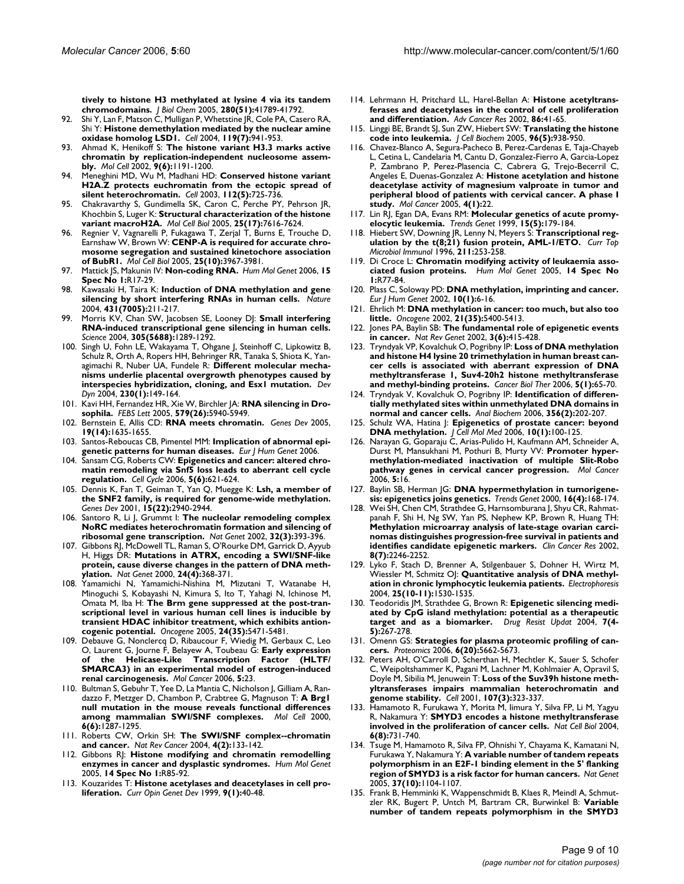**[tively to histone H3 methylated at lysine 4 via its tandem](http://www.ncbi.nlm.nih.gov/entrez/query.fcgi?cmd=Retrieve&db=PubMed&dopt=Abstract&list_uids=16263726) [chromodomains.](http://www.ncbi.nlm.nih.gov/entrez/query.fcgi?cmd=Retrieve&db=PubMed&dopt=Abstract&list_uids=16263726)** *J Biol Chem* 2005, **280(51):**41789-41792.

- 92. Shi Y, Lan F, Matson C, Mulligan P, Whetstine JR, Cole PA, Casero RA, Shi Y: **[Histone demethylation mediated by the nuclear amine](http://www.ncbi.nlm.nih.gov/entrez/query.fcgi?cmd=Retrieve&db=PubMed&dopt=Abstract&list_uids=15620353) [oxidase homolog LSD1.](http://www.ncbi.nlm.nih.gov/entrez/query.fcgi?cmd=Retrieve&db=PubMed&dopt=Abstract&list_uids=15620353)** *Cell* 2004, **119(7):**941-953.
- 93. Ahmad K, Henikoff S: **[The histone variant H3.3 marks active](http://www.ncbi.nlm.nih.gov/entrez/query.fcgi?cmd=Retrieve&db=PubMed&dopt=Abstract&list_uids=12086617) [chromatin by replication-independent nucleosome assem](http://www.ncbi.nlm.nih.gov/entrez/query.fcgi?cmd=Retrieve&db=PubMed&dopt=Abstract&list_uids=12086617)[bly.](http://www.ncbi.nlm.nih.gov/entrez/query.fcgi?cmd=Retrieve&db=PubMed&dopt=Abstract&list_uids=12086617)** *Mol Cell* 2002, **9(6):**1191-1200.
- 94. Meneghini MD, Wu M, Madhani HD: **[Conserved histone variant](http://www.ncbi.nlm.nih.gov/entrez/query.fcgi?cmd=Retrieve&db=PubMed&dopt=Abstract&list_uids=12628191) [H2A.Z protects euchromatin from the ectopic spread of](http://www.ncbi.nlm.nih.gov/entrez/query.fcgi?cmd=Retrieve&db=PubMed&dopt=Abstract&list_uids=12628191) [silent heterochromatin.](http://www.ncbi.nlm.nih.gov/entrez/query.fcgi?cmd=Retrieve&db=PubMed&dopt=Abstract&list_uids=12628191)** *Cell* 2003, **112(5):**725-736.
- 95. Chakravarthy S, Gundimella SK, Caron C, Perche PY, Pehrson JR, Khochbin S, Luger K: **[Structural characterization of the histone](http://www.ncbi.nlm.nih.gov/entrez/query.fcgi?cmd=Retrieve&db=PubMed&dopt=Abstract&list_uids=16107708) [variant macroH2A.](http://www.ncbi.nlm.nih.gov/entrez/query.fcgi?cmd=Retrieve&db=PubMed&dopt=Abstract&list_uids=16107708)** *Mol Cell Biol* 2005, **25(17):**7616-7624.
- 96. Regnier V, Vagnarelli P, Fukagawa T, Zerjal T, Burns E, Trouche D, Earnshaw W, Brown W: **[CENP-A is required for accurate chro](http://www.ncbi.nlm.nih.gov/entrez/query.fcgi?cmd=Retrieve&db=PubMed&dopt=Abstract&list_uids=15870271)[mosome segregation and sustained kinetochore association](http://www.ncbi.nlm.nih.gov/entrez/query.fcgi?cmd=Retrieve&db=PubMed&dopt=Abstract&list_uids=15870271) [of BubR1.](http://www.ncbi.nlm.nih.gov/entrez/query.fcgi?cmd=Retrieve&db=PubMed&dopt=Abstract&list_uids=15870271)** *Mol Cell Biol* 2005, **25(10):**3967-3981.
- 97. Mattick JS, Makunin IV: **[Non-coding RNA.](http://www.ncbi.nlm.nih.gov/entrez/query.fcgi?cmd=Retrieve&db=PubMed&dopt=Abstract&list_uids=16651366)** *Hum Mol Genet* 2006, **15 Spec No 1:**R17-29.
- 98. Kawasaki H, Taira K: **[Induction of DNA methylation and gene](http://www.ncbi.nlm.nih.gov/entrez/query.fcgi?cmd=Retrieve&db=PubMed&dopt=Abstract&list_uids=15311210) [silencing by short interfering RNAs in human cells.](http://www.ncbi.nlm.nih.gov/entrez/query.fcgi?cmd=Retrieve&db=PubMed&dopt=Abstract&list_uids=15311210)** *Nature* 2004, **431(7005):**211-217.
- 99. Morris KV, Chan SW, Jacobsen SE, Looney DJ: **[Small interfering](http://www.ncbi.nlm.nih.gov/entrez/query.fcgi?cmd=Retrieve&db=PubMed&dopt=Abstract&list_uids=15297624) [RNA-induced transcriptional gene silencing in human cells.](http://www.ncbi.nlm.nih.gov/entrez/query.fcgi?cmd=Retrieve&db=PubMed&dopt=Abstract&list_uids=15297624)** *Science* 2004, **305(5688):**1289-1292.
- 100. Singh U, Fohn LE, Wakayama T, Ohgane J, Steinhoff C, Lipkowitz B, Schulz R, Orth A, Ropers HH, Behringer RR, Tanaka S, Shiota K, Yanagimachi R, Nuber UA, Fundele R: **[Different molecular mecha](http://www.ncbi.nlm.nih.gov/entrez/query.fcgi?cmd=Retrieve&db=PubMed&dopt=Abstract&list_uids=15108320)[nisms underlie placental overgrowth phenotypes caused by](http://www.ncbi.nlm.nih.gov/entrez/query.fcgi?cmd=Retrieve&db=PubMed&dopt=Abstract&list_uids=15108320) [interspecies hybridization, cloning, and Esx1 mutation.](http://www.ncbi.nlm.nih.gov/entrez/query.fcgi?cmd=Retrieve&db=PubMed&dopt=Abstract&list_uids=15108320)** *Dev Dyn* 2004, **230(1):**149-164.
- 101. Kavi HH, Fernandez HR, Xie W, Birchler JA: **[RNA silencing in Dro](http://www.ncbi.nlm.nih.gov/entrez/query.fcgi?cmd=Retrieve&db=PubMed&dopt=Abstract&list_uids=16198344)[sophila.](http://www.ncbi.nlm.nih.gov/entrez/query.fcgi?cmd=Retrieve&db=PubMed&dopt=Abstract&list_uids=16198344)** *FEBS Lett* 2005, **579(26):**5940-5949.
- 102. Bernstein E, Allis CD: **[RNA meets chromatin.](http://www.ncbi.nlm.nih.gov/entrez/query.fcgi?cmd=Retrieve&db=PubMed&dopt=Abstract&list_uids=16024654)** *Genes Dev* 2005, **19(14):**1635-1655.
- 103. Santos-Reboucas CB, Pimentel MM: **[Implication of abnormal epi](http://www.ncbi.nlm.nih.gov/entrez/query.fcgi?cmd=Retrieve&db=PubMed&dopt=Abstract&list_uids=17047674)[genetic patterns for human diseases.](http://www.ncbi.nlm.nih.gov/entrez/query.fcgi?cmd=Retrieve&db=PubMed&dopt=Abstract&list_uids=17047674)** *Eur J Hum Genet* 2006.
- 104. Sansam CG, Roberts CW: **[Epigenetics and cancer: altered chro](http://www.ncbi.nlm.nih.gov/entrez/query.fcgi?cmd=Retrieve&db=PubMed&dopt=Abstract&list_uids=16582616)[matin remodeling via Snf5 loss leads to aberrant cell cycle](http://www.ncbi.nlm.nih.gov/entrez/query.fcgi?cmd=Retrieve&db=PubMed&dopt=Abstract&list_uids=16582616) [regulation.](http://www.ncbi.nlm.nih.gov/entrez/query.fcgi?cmd=Retrieve&db=PubMed&dopt=Abstract&list_uids=16582616)** *Cell Cycle* 2006, **5(6):**621-624.
- 105. Dennis K, Fan T, Geiman T, Yan Q, Muegge K: **[Lsh, a member of](http://www.ncbi.nlm.nih.gov/entrez/query.fcgi?cmd=Retrieve&db=PubMed&dopt=Abstract&list_uids=11711429) [the SNF2 family, is required for genome-wide methylation.](http://www.ncbi.nlm.nih.gov/entrez/query.fcgi?cmd=Retrieve&db=PubMed&dopt=Abstract&list_uids=11711429)** *Genes Dev* 2001, **15(22):**2940-2944.
- 106. Santoro R, Li J, Grummt I: **[The nucleolar remodeling complex](http://www.ncbi.nlm.nih.gov/entrez/query.fcgi?cmd=Retrieve&db=PubMed&dopt=Abstract&list_uids=12368916) [NoRC mediates heterochromatin formation and silencing of](http://www.ncbi.nlm.nih.gov/entrez/query.fcgi?cmd=Retrieve&db=PubMed&dopt=Abstract&list_uids=12368916) [ribosomal gene transcription.](http://www.ncbi.nlm.nih.gov/entrez/query.fcgi?cmd=Retrieve&db=PubMed&dopt=Abstract&list_uids=12368916)** *Nat Genet* 2002, **32(3):**393-396.
- 107. Gibbons RJ, McDowell TL, Raman S, O'Rourke DM, Garrick D, Ayyub H, Higgs DR: **[Mutations in ATRX, encoding a SWI/SNF-like](http://www.ncbi.nlm.nih.gov/entrez/query.fcgi?cmd=Retrieve&db=PubMed&dopt=Abstract&list_uids=10742099) [protein, cause diverse changes in the pattern of DNA meth](http://www.ncbi.nlm.nih.gov/entrez/query.fcgi?cmd=Retrieve&db=PubMed&dopt=Abstract&list_uids=10742099)[ylation.](http://www.ncbi.nlm.nih.gov/entrez/query.fcgi?cmd=Retrieve&db=PubMed&dopt=Abstract&list_uids=10742099)** *Nat Genet* 2000, **24(4):**368-371.
- 108. Yamamichi N, Yamamichi-Nishina M, Mizutani T, Watanabe H, Minoguchi S, Kobayashi N, Kimura S, Ito T, Yahagi N, Ichinose M, Omata M, Iba H: **[The Brm gene suppressed at the post-tran](http://www.ncbi.nlm.nih.gov/entrez/query.fcgi?cmd=Retrieve&db=PubMed&dopt=Abstract&list_uids=16007216)scriptional level in various human cell lines is inducible by [transient HDAC inhibitor treatment, which exhibits antion](http://www.ncbi.nlm.nih.gov/entrez/query.fcgi?cmd=Retrieve&db=PubMed&dopt=Abstract&list_uids=16007216)[cogenic potential.](http://www.ncbi.nlm.nih.gov/entrez/query.fcgi?cmd=Retrieve&db=PubMed&dopt=Abstract&list_uids=16007216)** *Oncogene* 2005, **24(35):**5471-5481.
- 109. Debauve G, Nonclercq D, Ribaucour F, Wiedig M, Gerbaux C, Leo O, Laurent G, Journe F, Belayew A, Toubeau G: **[Early expression](http://www.ncbi.nlm.nih.gov/entrez/query.fcgi?cmd=Retrieve&db=PubMed&dopt=Abstract&list_uids=16762066)** of the Helicase-Like Transcription Factor **[SMARCA3\) in an experimental model of estrogen-induced](http://www.ncbi.nlm.nih.gov/entrez/query.fcgi?cmd=Retrieve&db=PubMed&dopt=Abstract&list_uids=16762066) [renal carcinogenesis.](http://www.ncbi.nlm.nih.gov/entrez/query.fcgi?cmd=Retrieve&db=PubMed&dopt=Abstract&list_uids=16762066)** *Mol Cancer* 2006, **5:**23.
- 110. Bultman S, Gebuhr T, Yee D, La Mantia C, Nicholson J, Gilliam A, Randazzo F, Metzger D, Chambon P, Crabtree G, Magnuson T: **[A Brg1](http://www.ncbi.nlm.nih.gov/entrez/query.fcgi?cmd=Retrieve&db=PubMed&dopt=Abstract&list_uids=11163203) [null mutation in the mouse reveals functional differences](http://www.ncbi.nlm.nih.gov/entrez/query.fcgi?cmd=Retrieve&db=PubMed&dopt=Abstract&list_uids=11163203) [among mammalian SWI/SNF complexes.](http://www.ncbi.nlm.nih.gov/entrez/query.fcgi?cmd=Retrieve&db=PubMed&dopt=Abstract&list_uids=11163203)** *Mol Cell* 2000, **6(6):**1287-1295.
- 111. Roberts CW, Orkin SH: **[The SWI/SNF complex--chromatin](http://www.ncbi.nlm.nih.gov/entrez/query.fcgi?cmd=Retrieve&db=PubMed&dopt=Abstract&list_uids=14964309) [and cancer.](http://www.ncbi.nlm.nih.gov/entrez/query.fcgi?cmd=Retrieve&db=PubMed&dopt=Abstract&list_uids=14964309)** *Nat Rev Cancer* 2004, **4(2):**133-142.
- 112. Gibbons RJ: **[Histone modifying and chromatin remodelling](http://www.ncbi.nlm.nih.gov/entrez/query.fcgi?cmd=Retrieve&db=PubMed&dopt=Abstract&list_uids=15809277) [enzymes in cancer and dysplastic syndromes.](http://www.ncbi.nlm.nih.gov/entrez/query.fcgi?cmd=Retrieve&db=PubMed&dopt=Abstract&list_uids=15809277)** *Hum Mol Genet* 2005, **14 Spec No 1:**R85-92.
- 113. Kouzarides T: **[Histone acetylases and deacetylases in cell pro](http://www.ncbi.nlm.nih.gov/entrez/query.fcgi?cmd=Retrieve&db=PubMed&dopt=Abstract&list_uids=10072350)[liferation.](http://www.ncbi.nlm.nih.gov/entrez/query.fcgi?cmd=Retrieve&db=PubMed&dopt=Abstract&list_uids=10072350)** *Curr Opin Genet Dev* 1999, **9(1):**40-48.
- 114. Lehrmann H, Pritchard LL, Harel-Bellan A: **[Histone acetyltrans](http://www.ncbi.nlm.nih.gov/entrez/query.fcgi?cmd=Retrieve&db=PubMed&dopt=Abstract&list_uids=12374280)[ferases and deacetylases in the control of cell proliferation](http://www.ncbi.nlm.nih.gov/entrez/query.fcgi?cmd=Retrieve&db=PubMed&dopt=Abstract&list_uids=12374280) [and differentiation.](http://www.ncbi.nlm.nih.gov/entrez/query.fcgi?cmd=Retrieve&db=PubMed&dopt=Abstract&list_uids=12374280)** *Adv Cancer Res* 2002, **86:**41-65.
- 115. Linggi BE, Brandt SJ, Sun ZW, Hiebert SW: **[Translating the histone](http://www.ncbi.nlm.nih.gov/entrez/query.fcgi?cmd=Retrieve&db=PubMed&dopt=Abstract&list_uids=16167339) [code into leukemia.](http://www.ncbi.nlm.nih.gov/entrez/query.fcgi?cmd=Retrieve&db=PubMed&dopt=Abstract&list_uids=16167339)** *J Cell Biochem* 2005, **96(5):**938-950.
- 116. Chavez-Blanco A, Segura-Pacheco B, Perez-Cardenas E, Taja-Chayeb L, Cetina L, Candelaria M, Cantu D, Gonzalez-Fierro A, Garcia-Lopez P, Zambrano P, Perez-Plasencia C, Cabrera G, Trejo-Becerril C, Angeles E, Duenas-Gonzalez A: **[Histone acetylation and histone](http://www.ncbi.nlm.nih.gov/entrez/query.fcgi?cmd=Retrieve&db=PubMed&dopt=Abstract&list_uids=16001982) deacetylase activity of magnesium valproate in tumor and [peripheral blood of patients with cervical cancer. A phase I](http://www.ncbi.nlm.nih.gov/entrez/query.fcgi?cmd=Retrieve&db=PubMed&dopt=Abstract&list_uids=16001982) [study.](http://www.ncbi.nlm.nih.gov/entrez/query.fcgi?cmd=Retrieve&db=PubMed&dopt=Abstract&list_uids=16001982)** *Mol Cancer* 2005, **4(1):**22.
- 117. Lin RJ, Egan DA, Evans RM: **[Molecular genetics of acute promy](http://www.ncbi.nlm.nih.gov/entrez/query.fcgi?cmd=Retrieve&db=PubMed&dopt=Abstract&list_uids=10322484)[elocytic leukemia.](http://www.ncbi.nlm.nih.gov/entrez/query.fcgi?cmd=Retrieve&db=PubMed&dopt=Abstract&list_uids=10322484)** *Trends Genet* 1999, **15(5):**179-184.
- 118. Hiebert SW, Downing JR, Lenny N, Meyers S: **[Transcriptional reg](http://www.ncbi.nlm.nih.gov/entrez/query.fcgi?cmd=Retrieve&db=PubMed&dopt=Abstract&list_uids=8585956)[ulation by the t\(8;21\) fusion protein, AML-1/ETO.](http://www.ncbi.nlm.nih.gov/entrez/query.fcgi?cmd=Retrieve&db=PubMed&dopt=Abstract&list_uids=8585956)** *Curr Top Microbiol Immunol* 1996, **211:**253-258.
- 119. Di Croce L: **[Chromatin modifying activity of leukaemia asso](http://www.ncbi.nlm.nih.gov/entrez/query.fcgi?cmd=Retrieve&db=PubMed&dopt=Abstract&list_uids=15809276)[ciated fusion proteins.](http://www.ncbi.nlm.nih.gov/entrez/query.fcgi?cmd=Retrieve&db=PubMed&dopt=Abstract&list_uids=15809276)** *Hum Mol Genet* 2005, **14 Spec No 1:**R77-84.
- 120. Plass C, Soloway PD: **[DNA methylation, imprinting and cancer.](http://www.ncbi.nlm.nih.gov/entrez/query.fcgi?cmd=Retrieve&db=PubMed&dopt=Abstract&list_uids=11896451)** *Eur J Hum Genet* 2002, **10(1):**6-16.
- 121. Ehrlich M: **[DNA methylation in cancer: too much, but also too](http://www.ncbi.nlm.nih.gov/entrez/query.fcgi?cmd=Retrieve&db=PubMed&dopt=Abstract&list_uids=12154403) [little.](http://www.ncbi.nlm.nih.gov/entrez/query.fcgi?cmd=Retrieve&db=PubMed&dopt=Abstract&list_uids=12154403)** *Oncogene* 2002, **21(35):**5400-5413.
- 122. Jones PA, Baylin SB: **[The fundamental role of epigenetic events](http://www.ncbi.nlm.nih.gov/entrez/query.fcgi?cmd=Retrieve&db=PubMed&dopt=Abstract&list_uids=12042769) [in cancer.](http://www.ncbi.nlm.nih.gov/entrez/query.fcgi?cmd=Retrieve&db=PubMed&dopt=Abstract&list_uids=12042769)** *Nat Rev Genet* 2002, **3(6):**415-428.
- 123. Tryndyak VP, Kovalchuk O, Pogribny IP: **[Loss of DNA methylation](http://www.ncbi.nlm.nih.gov/entrez/query.fcgi?cmd=Retrieve&db=PubMed&dopt=Abstract&list_uids=16322686) and histone H4 lysine 20 trimethylation in human breast can[cer cells is associated with aberrant expression of DNA](http://www.ncbi.nlm.nih.gov/entrez/query.fcgi?cmd=Retrieve&db=PubMed&dopt=Abstract&list_uids=16322686) methyltransferase 1, Suv4-20h2 histone methyltransferase [and methyl-binding proteins.](http://www.ncbi.nlm.nih.gov/entrez/query.fcgi?cmd=Retrieve&db=PubMed&dopt=Abstract&list_uids=16322686)** *Cancer Biol Ther* 2006, **5(1):**65-70.
- 124. Tryndyak V, Kovalchuk O, Pogribny IP: **[Identification of differen](http://www.ncbi.nlm.nih.gov/entrez/query.fcgi?cmd=Retrieve&db=PubMed&dopt=Abstract&list_uids=16824473)[tially methylated sites within unmethylated DNA domains in](http://www.ncbi.nlm.nih.gov/entrez/query.fcgi?cmd=Retrieve&db=PubMed&dopt=Abstract&list_uids=16824473) [normal and cancer cells.](http://www.ncbi.nlm.nih.gov/entrez/query.fcgi?cmd=Retrieve&db=PubMed&dopt=Abstract&list_uids=16824473)** *Anal Biochem* 2006, **356(2):**202-207.
- 125. Schulz WA, Hatina J: **[Epigenetics of prostate cancer: beyond](http://www.ncbi.nlm.nih.gov/entrez/query.fcgi?cmd=Retrieve&db=PubMed&dopt=Abstract&list_uids=16563224) [DNA methylation.](http://www.ncbi.nlm.nih.gov/entrez/query.fcgi?cmd=Retrieve&db=PubMed&dopt=Abstract&list_uids=16563224)** *J Cell Mol Med* 2006, **10(1):**100-125.
- 126. Narayan G, Goparaju C, Arias-Pulido H, Kaufmann AM, Schneider A, Durst M, Mansukhani M, Pothuri B, Murty VV: **[Promoter hyper](http://www.ncbi.nlm.nih.gov/entrez/query.fcgi?cmd=Retrieve&db=PubMed&dopt=Abstract&list_uids=16700909)[methylation-mediated inactivation of multiple Slit-Robo](http://www.ncbi.nlm.nih.gov/entrez/query.fcgi?cmd=Retrieve&db=PubMed&dopt=Abstract&list_uids=16700909) [pathway genes in cervical cancer progression.](http://www.ncbi.nlm.nih.gov/entrez/query.fcgi?cmd=Retrieve&db=PubMed&dopt=Abstract&list_uids=16700909)** *Mol Cancer* 2006, **5:**16.
- 127. Baylin SB, Herman JG: **[DNA hypermethylation in tumorigene](http://www.ncbi.nlm.nih.gov/entrez/query.fcgi?cmd=Retrieve&db=PubMed&dopt=Abstract&list_uids=10729832)[sis: epigenetics joins genetics.](http://www.ncbi.nlm.nih.gov/entrez/query.fcgi?cmd=Retrieve&db=PubMed&dopt=Abstract&list_uids=10729832)** *Trends Genet* 2000, **16(4):**168-174.
- 128. Wei SH, Chen CM, Strathdee G, Harnsomburana J, Shyu CR, Rahmatpanah F, Shi H, Ng SW, Yan PS, Nephew KP, Brown R, Huang TH: **Methylation microarray analysis of late-stage ovarian carci[nomas distinguishes progression-free survival in patients and](http://www.ncbi.nlm.nih.gov/entrez/query.fcgi?cmd=Retrieve&db=PubMed&dopt=Abstract&list_uids=12114427) [identifies candidate epigenetic markers.](http://www.ncbi.nlm.nih.gov/entrez/query.fcgi?cmd=Retrieve&db=PubMed&dopt=Abstract&list_uids=12114427)** *Clin Cancer Res* 2002, **8(7):**2246-2252.
- 129. Lyko F, Stach D, Brenner A, Stilgenbauer S, Dohner H, Wirtz M, Wiessler M, Schmitz OJ: **[Quantitative analysis of DNA methyl](http://www.ncbi.nlm.nih.gov/entrez/query.fcgi?cmd=Retrieve&db=PubMed&dopt=Abstract&list_uids=15188237)[ation in chronic lymphocytic leukemia patients.](http://www.ncbi.nlm.nih.gov/entrez/query.fcgi?cmd=Retrieve&db=PubMed&dopt=Abstract&list_uids=15188237)** *Electrophoresis* 2004, **25(10-11):**1530-1535.
- 130. Teodoridis JM, Strathdee G, Brown R: **[Epigenetic silencing medi](http://www.ncbi.nlm.nih.gov/entrez/query.fcgi?cmd=Retrieve&db=PubMed&dopt=Abstract&list_uids=15533764)[ated by CpG island methylation: potential as a therapeutic](http://www.ncbi.nlm.nih.gov/entrez/query.fcgi?cmd=Retrieve&db=PubMed&dopt=Abstract&list_uids=15533764) [target and as a biomarker.](http://www.ncbi.nlm.nih.gov/entrez/query.fcgi?cmd=Retrieve&db=PubMed&dopt=Abstract&list_uids=15533764)** *Drug Resist Updat* 2004, **7(4- 5):**267-278.
- 131. Omenn GS: **[Strategies for plasma proteomic profiling of can](http://www.ncbi.nlm.nih.gov/entrez/query.fcgi?cmd=Retrieve&db=PubMed&dopt=Abstract&list_uids=16991194)[cers.](http://www.ncbi.nlm.nih.gov/entrez/query.fcgi?cmd=Retrieve&db=PubMed&dopt=Abstract&list_uids=16991194)** *Proteomics* 2006, **6(20):**5662-5673.
- 132. Peters AH, O'Carroll D, Scherthan H, Mechtler K, Sauer S, Schofer C, Weipoltshammer K, Pagani M, Lachner M, Kohlmaier A, Opravil S, Doyle M, Sibilia M, Jenuwein T: **[Loss of the Suv39h histone meth](http://www.ncbi.nlm.nih.gov/entrez/query.fcgi?cmd=Retrieve&db=PubMed&dopt=Abstract&list_uids=11701123)[yltransferases impairs mammalian heterochromatin and](http://www.ncbi.nlm.nih.gov/entrez/query.fcgi?cmd=Retrieve&db=PubMed&dopt=Abstract&list_uids=11701123) [genome stability.](http://www.ncbi.nlm.nih.gov/entrez/query.fcgi?cmd=Retrieve&db=PubMed&dopt=Abstract&list_uids=11701123)** *Cell* 2001, **107(3):**323-337.
- 133. Hamamoto R, Furukawa Y, Morita M, Iimura Y, Silva FP, Li M, Yagyu R, Nakamura Y: **[SMYD3 encodes a histone methyltransferase](http://www.ncbi.nlm.nih.gov/entrez/query.fcgi?cmd=Retrieve&db=PubMed&dopt=Abstract&list_uids=15235609) [involved in the proliferation of cancer cells.](http://www.ncbi.nlm.nih.gov/entrez/query.fcgi?cmd=Retrieve&db=PubMed&dopt=Abstract&list_uids=15235609)** *Nat Cell Biol* 2004, **6(8):**731-740.
- 134. Tsuge M, Hamamoto R, Silva FP, Ohnishi Y, Chayama K, Kamatani N, Furukawa Y, Nakamura Y: **[A variable number of tandem repeats](http://www.ncbi.nlm.nih.gov/entrez/query.fcgi?cmd=Retrieve&db=PubMed&dopt=Abstract&list_uids=16155568) [polymorphism in an E2F-1 binding element in the 5' flanking](http://www.ncbi.nlm.nih.gov/entrez/query.fcgi?cmd=Retrieve&db=PubMed&dopt=Abstract&list_uids=16155568) [region of SMYD3 is a risk factor for human cancers.](http://www.ncbi.nlm.nih.gov/entrez/query.fcgi?cmd=Retrieve&db=PubMed&dopt=Abstract&list_uids=16155568)** *Nat Genet* 2005, **37(10):**1104-1107.
- 135. Frank B, Hemminki K, Wappenschmidt B, Klaes R, Meindl A, Schmutzler RK, Bugert P, Untch M, Bartram CR, Burwinkel B: **[Variable](http://www.ncbi.nlm.nih.gov/entrez/query.fcgi?cmd=Retrieve&db=PubMed&dopt=Abstract&list_uids=16381023) [number of tandem repeats polymorphism in the SMYD3](http://www.ncbi.nlm.nih.gov/entrez/query.fcgi?cmd=Retrieve&db=PubMed&dopt=Abstract&list_uids=16381023)**